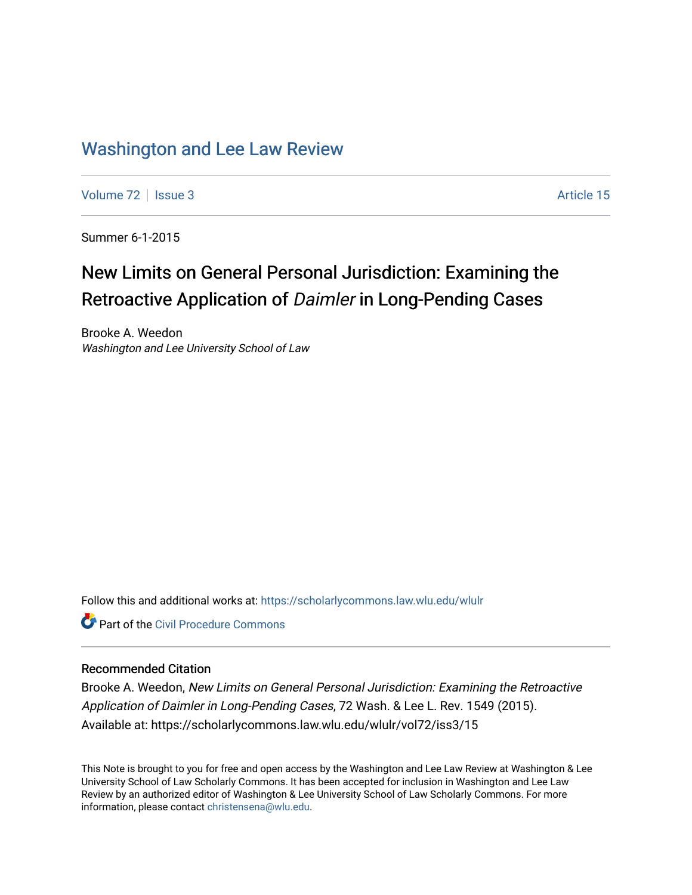# [Washington and Lee Law Review](https://scholarlycommons.law.wlu.edu/wlulr)

[Volume 72](https://scholarlycommons.law.wlu.edu/wlulr/vol72) | [Issue 3](https://scholarlycommons.law.wlu.edu/wlulr/vol72/iss3) Article 15

Summer 6-1-2015

# New Limits on General Personal Jurisdiction: Examining the Retroactive Application of Daimler in Long-Pending Cases

Brooke A. Weedon Washington and Lee University School of Law

Follow this and additional works at: [https://scholarlycommons.law.wlu.edu/wlulr](https://scholarlycommons.law.wlu.edu/wlulr?utm_source=scholarlycommons.law.wlu.edu%2Fwlulr%2Fvol72%2Fiss3%2F15&utm_medium=PDF&utm_campaign=PDFCoverPages) 

**Part of the Civil Procedure Commons** 

# Recommended Citation

Brooke A. Weedon, New Limits on General Personal Jurisdiction: Examining the Retroactive Application of Daimler in Long-Pending Cases, 72 Wash. & Lee L. Rev. 1549 (2015). Available at: https://scholarlycommons.law.wlu.edu/wlulr/vol72/iss3/15

This Note is brought to you for free and open access by the Washington and Lee Law Review at Washington & Lee University School of Law Scholarly Commons. It has been accepted for inclusion in Washington and Lee Law Review by an authorized editor of Washington & Lee University School of Law Scholarly Commons. For more information, please contact [christensena@wlu.edu](mailto:christensena@wlu.edu).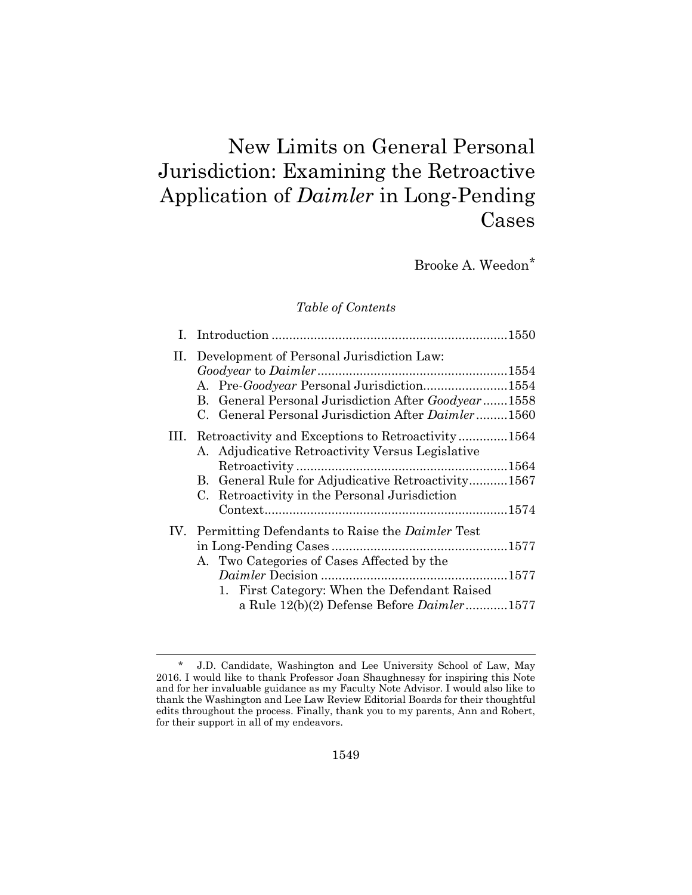# New Limits on General Personal Jurisdiction: Examining the Retroactive Application of *Daimler* in Long-Pending Cases

Brooke A. Weedon\*

# *Table of Contents*

| II. Development of Personal Jurisdiction Law:<br>A. Pre-Goodyear Personal Jurisdiction1554<br>B. General Personal Jurisdiction After Goodyear1558<br>C. General Personal Jurisdiction After Daimler1560           |  |
|-------------------------------------------------------------------------------------------------------------------------------------------------------------------------------------------------------------------|--|
| III. Retroactivity and Exceptions to Retroactivity1564<br>A. Adjudicative Retroactivity Versus Legislative<br>B. General Rule for Adjudicative Retroactivity1567<br>C. Retroactivity in the Personal Jurisdiction |  |
| IV. Permitting Defendants to Raise the <i>Daimler</i> Test<br>A. Two Categories of Cases Affected by the<br>1. First Category: When the Defendant Raised<br>a Rule $12(b)(2)$ Defense Before $Daimler$ 1577       |  |
|                                                                                                                                                                                                                   |  |

<sup>\*</sup> J.D. Candidate, Washington and Lee University School of Law, May 2016. I would like to thank Professor Joan Shaughnessy for inspiring this Note and for her invaluable guidance as my Faculty Note Advisor. I would also like to thank the Washington and Lee Law Review Editorial Boards for their thoughtful edits throughout the process. Finally, thank you to my parents, Ann and Robert, for their support in all of my endeavors.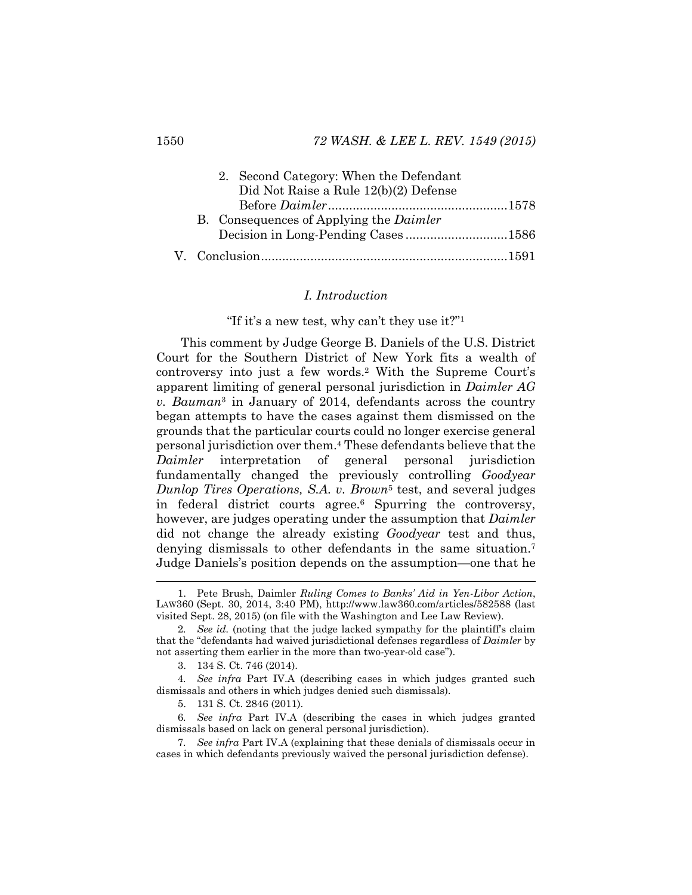|  | 2. Second Category: When the Defendant         |  |
|--|------------------------------------------------|--|
|  | Did Not Raise a Rule 12(b)(2) Defense          |  |
|  |                                                |  |
|  | B. Consequences of Applying the <i>Daimler</i> |  |
|  | Decision in Long-Pending Cases1586             |  |
|  |                                                |  |

#### <span id="page-2-0"></span>*I. Introduction*

#### "If it's a new test, why can't they use it?"<sup>1</sup>

This comment by Judge George B. Daniels of the U.S. District Court for the Southern District of New York fits a wealth of controversy into just a few words.<sup>2</sup> With the Supreme Court's apparent limiting of general personal jurisdiction in *Daimler AG v. Bauman*<sup>3</sup> in January of 2014, defendants across the country began attempts to have the cases against them dismissed on the grounds that the particular courts could no longer exercise general personal jurisdiction over them.<sup>4</sup> These defendants believe that the *Daimler* interpretation of general personal jurisdiction fundamentally changed the previously controlling *Goodyear Dunlop Tires Operations, S.A. v. Brown*<sup>5</sup> test, and several judges in federal district courts agree.<sup>6</sup> Spurring the controversy, however, are judges operating under the assumption that *Daimler* did not change the already existing *Goodyear* test and thus, denying dismissals to other defendants in the same situation.<sup>7</sup> Judge Daniels's position depends on the assumption—one that he

<sup>1.</sup> Pete Brush, Daimler *Ruling Comes to Banks' Aid in Yen-Libor Action*, LAW360 (Sept. 30, 2014, 3:40 PM), http://www.law360.com/articles/582588 (last visited Sept. 28, 2015) (on file with the Washington and Lee Law Review).

<sup>2</sup>*. See id.* (noting that the judge lacked sympathy for the plaintiff's claim that the "defendants had waived jurisdictional defenses regardless of *Daimler* by not asserting them earlier in the more than two-year-old case").

<sup>3.</sup> 134 S. Ct. 746 (2014).

<sup>4</sup>*. See infra* Part IV.A (describing cases in which judges granted such dismissals and others in which judges denied such dismissals).

<sup>5.</sup> 131 S. Ct. 2846 (2011).

<sup>6</sup>*. See infra* Part IV.A (describing the cases in which judges granted dismissals based on lack on general personal jurisdiction).

<sup>7</sup>*. See infra* Part IV.A (explaining that these denials of dismissals occur in cases in which defendants previously waived the personal jurisdiction defense).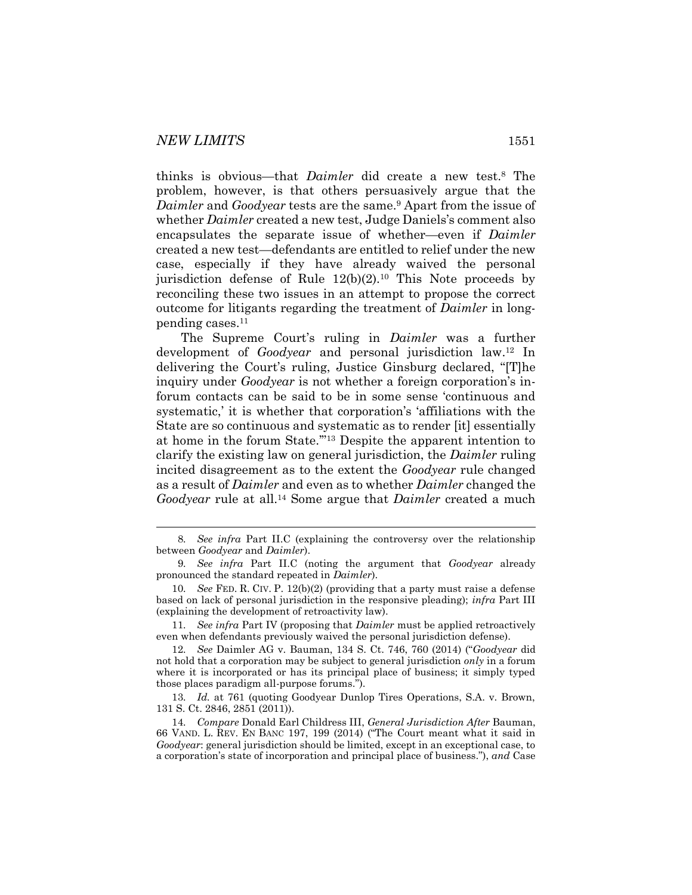<span id="page-3-0"></span>

thinks is obvious—that *Daimler* did create a new test.<sup>8</sup> The problem, however, is that others persuasively argue that the *Daimler* and *Goodyear* tests are the same.<sup>9</sup> Apart from the issue of whether *Daimler* created a new test, Judge Daniels's comment also encapsulates the separate issue of whether—even if *Daimler* created a new test—defendants are entitled to relief under the new case, especially if they have already waived the personal jurisdiction defense of Rule  $12(b)(2)$ .<sup>10</sup> This Note proceeds by reconciling these two issues in an attempt to propose the correct outcome for litigants regarding the treatment of *Daimler* in longpending cases.<sup>11</sup>

The Supreme Court's ruling in *Daimler* was a further development of *Goodyear* and personal jurisdiction law.<sup>12</sup> In delivering the Court's ruling, Justice Ginsburg declared, "[T]he inquiry under *Goodyear* is not whether a foreign corporation's inforum contacts can be said to be in some sense 'continuous and systematic,' it is whether that corporation's 'affiliations with the State are so continuous and systematic as to render [it] essentially at home in the forum State.'"<sup>13</sup> Despite the apparent intention to clarify the existing law on general jurisdiction, the *Daimler* ruling incited disagreement as to the extent the *Goodyear* rule changed as a result of *Daimler* and even as to whether *Daimler* changed the *Goodyear* rule at all.<sup>14</sup> Some argue that *Daimler* created a much

11*. See infra* Part IV (proposing that *Daimler* must be applied retroactively even when defendants previously waived the personal jurisdiction defense).

12*. See* Daimler AG v. Bauman, 134 S. Ct. 746, 760 (2014) ("*Goodyear* did not hold that a corporation may be subject to general jurisdiction *only* in a forum where it is incorporated or has its principal place of business; it simply typed those places paradigm all-purpose forums.").

13*. Id.* at 761 (quoting Goodyear Dunlop Tires Operations, S.A. v. Brown, 131 S. Ct. 2846, 2851 (2011)).

14*. Compare* Donald Earl Childress III, *General Jurisdiction After* Bauman, 66 VAND. L. REV. EN BANC 197, 199 (2014) ("The Court meant what it said in *Goodyear*: general jurisdiction should be limited, except in an exceptional case, to a corporation's state of incorporation and principal place of business."), *and* Case

<sup>8</sup>*. See infra* Part II.C (explaining the controversy over the relationship between *Goodyear* and *Daimler*).

<sup>9</sup>*. See infra* Part II.C (noting the argument that *Goodyear* already pronounced the standard repeated in *Daimler*).

<sup>10</sup>*. See* FED. R. CIV. P. 12(b)(2) (providing that a party must raise a defense based on lack of personal jurisdiction in the responsive pleading); *infra* Part III (explaining the development of retroactivity law).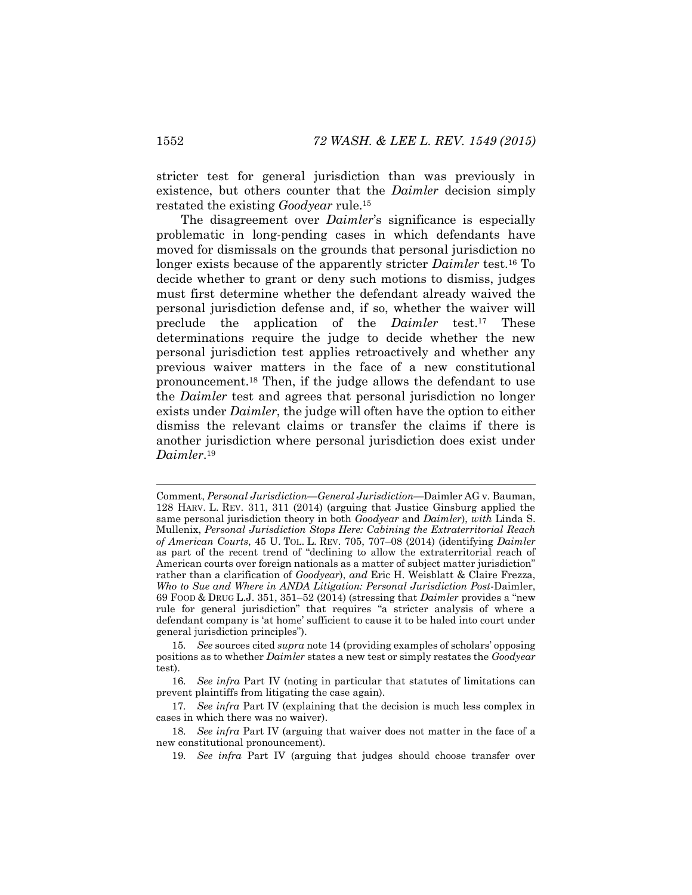stricter test for general jurisdiction than was previously in existence, but others counter that the *Daimler* decision simply restated the existing *Goodyear* rule.<sup>15</sup>

The disagreement over *Daimler*'s significance is especially problematic in long-pending cases in which defendants have moved for dismissals on the grounds that personal jurisdiction no longer exists because of the apparently stricter *Daimler* test.<sup>16</sup> To decide whether to grant or deny such motions to dismiss, judges must first determine whether the defendant already waived the personal jurisdiction defense and, if so, whether the waiver will preclude the application of the *Daimler* test.<sup>17</sup> These determinations require the judge to decide whether the new personal jurisdiction test applies retroactively and whether any previous waiver matters in the face of a new constitutional pronouncement.<sup>18</sup> Then, if the judge allows the defendant to use the *Daimler* test and agrees that personal jurisdiction no longer exists under *Daimler*, the judge will often have the option to either dismiss the relevant claims or transfer the claims if there is another jurisdiction where personal jurisdiction does exist under *Daimler*. 19

Comment, *Personal Jurisdiction—General Jurisdiction—*Daimler AG v. Bauman, 128 HARV. L. REV. 311, 311 (2014) (arguing that Justice Ginsburg applied the same personal jurisdiction theory in both *Goodyear* and *Daimler*), *with* Linda S. Mullenix, *Personal Jurisdiction Stops Here: Cabining the Extraterritorial Reach of American Courts*, 45 U. TOL. L. REV. 705, 707–08 (2014) (identifying *Daimler* as part of the recent trend of "declining to allow the extraterritorial reach of American courts over foreign nationals as a matter of subject matter jurisdiction" rather than a clarification of *Goodyear*), *and* Eric H. Weisblatt & Claire Frezza, *Who to Sue and Where in ANDA Litigation: Personal Jurisdiction Post*-Daimler, 69 FOOD & DRUG L.J. 351, 351–52 (2014) (stressing that *Daimler* provides a "new rule for general jurisdiction" that requires "a stricter analysis of where a defendant company is 'at home' sufficient to cause it to be haled into court under general jurisdiction principles").

<sup>15</sup>*. See* sources cited *supra* not[e 14](#page-3-0) (providing examples of scholars' opposing positions as to whether *Daimler* states a new test or simply restates the *Goodyear* test).

<sup>16</sup>*. See infra* Part IV (noting in particular that statutes of limitations can prevent plaintiffs from litigating the case again).

<sup>17</sup>*. See infra* Part IV (explaining that the decision is much less complex in cases in which there was no waiver).

<sup>18</sup>*. See infra* Part IV (arguing that waiver does not matter in the face of a new constitutional pronouncement).

<sup>19</sup>*. See infra* Part IV (arguing that judges should choose transfer over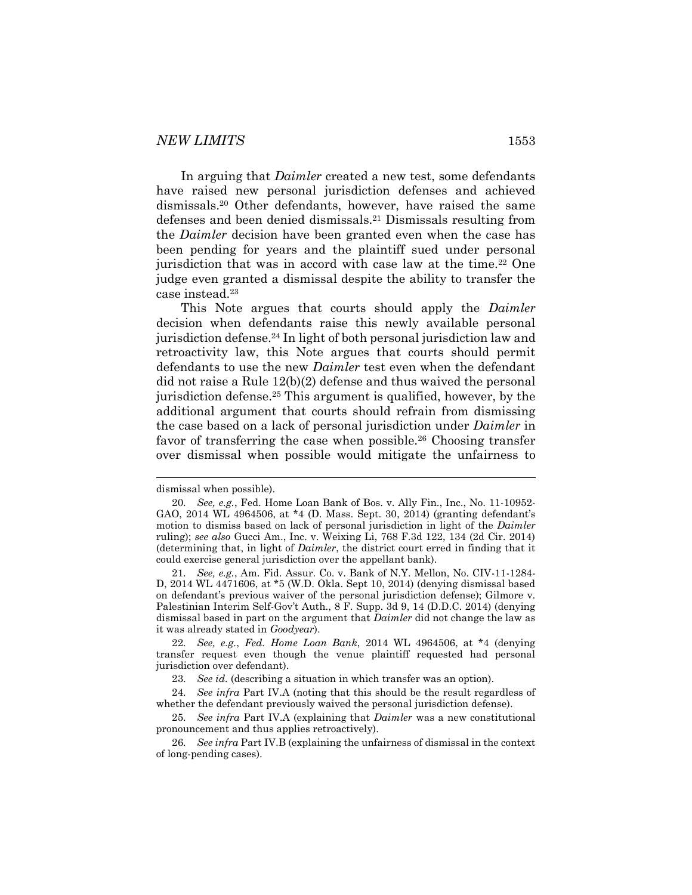<span id="page-5-0"></span>In arguing that *Daimler* created a new test, some defendants have raised new personal jurisdiction defenses and achieved dismissals.<sup>20</sup> Other defendants, however, have raised the same defenses and been denied dismissals.<sup>21</sup> Dismissals resulting from the *Daimler* decision have been granted even when the case has been pending for years and the plaintiff sued under personal jurisdiction that was in accord with case law at the time.<sup>22</sup> One judge even granted a dismissal despite the ability to transfer the case instead.<sup>23</sup>

This Note argues that courts should apply the *Daimler* decision when defendants raise this newly available personal jurisdiction defense.<sup>24</sup> In light of both personal jurisdiction law and retroactivity law, this Note argues that courts should permit defendants to use the new *Daimler* test even when the defendant did not raise a Rule 12(b)(2) defense and thus waived the personal jurisdiction defense.<sup>25</sup> This argument is qualified, however, by the additional argument that courts should refrain from dismissing the case based on a lack of personal jurisdiction under *Daimler* in favor of transferring the case when possible.<sup>26</sup> Choosing transfer over dismissal when possible would mitigate the unfairness to

dismissal when possible).

<sup>20</sup>*. See, e.g.*, Fed. Home Loan Bank of Bos. v. Ally Fin., Inc., No. 11-10952- GAO, 2014 WL 4964506, at \*4 (D. Mass. Sept. 30, 2014) (granting defendant's motion to dismiss based on lack of personal jurisdiction in light of the *Daimler* ruling); *see also* Gucci Am., Inc. v. Weixing Li, 768 F.3d 122, 134 (2d Cir. 2014) (determining that, in light of *Daimler*, the district court erred in finding that it could exercise general jurisdiction over the appellant bank).

<sup>21</sup>*. See, e.g.*, Am. Fid. Assur. Co. v. Bank of N.Y. Mellon, No. CIV-11-1284- D, 2014 WL 4471606, at \*5 (W.D. Okla. Sept 10, 2014) (denying dismissal based on defendant's previous waiver of the personal jurisdiction defense); Gilmore v. Palestinian Interim Self-Gov't Auth., 8 F. Supp. 3d 9, 14 (D.D.C. 2014) (denying dismissal based in part on the argument that *Daimler* did not change the law as it was already stated in *Goodyear*).

<sup>22</sup>*. See, e.g.*, *Fed. Home Loan Bank*, 2014 WL 4964506, at \*4 (denying transfer request even though the venue plaintiff requested had personal jurisdiction over defendant).

<sup>23</sup>*. See id.* (describing a situation in which transfer was an option).

<sup>24</sup>*. See infra* Part IV.A (noting that this should be the result regardless of whether the defendant previously waived the personal jurisdiction defense).

<sup>25</sup>*. See infra* Part IV.A (explaining that *Daimler* was a new constitutional pronouncement and thus applies retroactively).

<sup>26</sup>*. See infra* Part IV.B (explaining the unfairness of dismissal in the context of long-pending cases).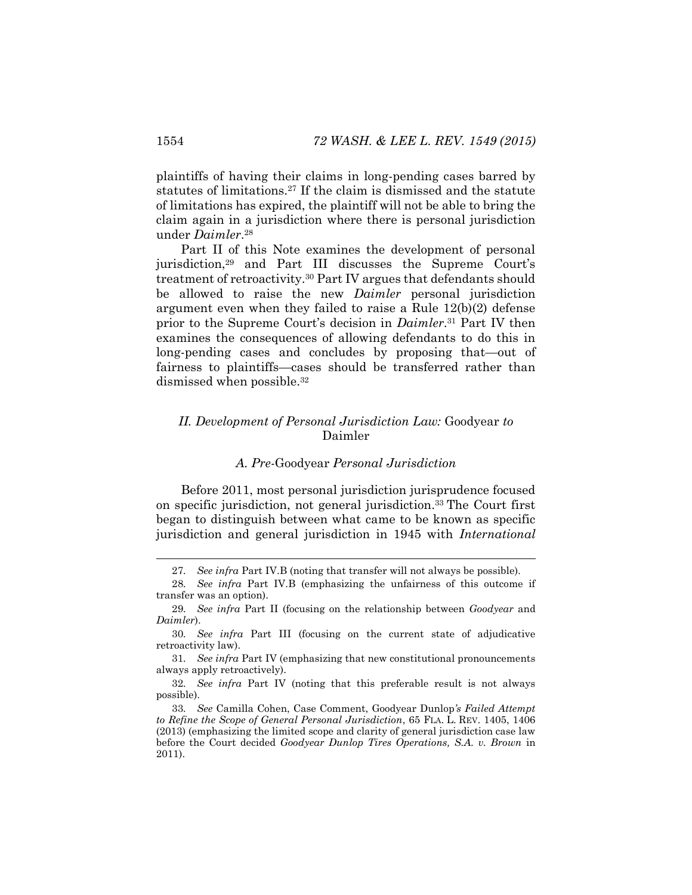plaintiffs of having their claims in long-pending cases barred by statutes of limitations.<sup>27</sup> If the claim is dismissed and the statute of limitations has expired, the plaintiff will not be able to bring the claim again in a jurisdiction where there is personal jurisdiction under *Daimler*. 28

Part II of this Note examines the development of personal jurisdiction,<sup>29</sup> and Part III discusses the Supreme Court's treatment of retroactivity.<sup>30</sup> Part IV argues that defendants should be allowed to raise the new *Daimler* personal jurisdiction argument even when they failed to raise a Rule 12(b)(2) defense prior to the Supreme Court's decision in *Daimler*. <sup>31</sup> Part IV then examines the consequences of allowing defendants to do this in long-pending cases and concludes by proposing that—out of fairness to plaintiffs—cases should be transferred rather than dismissed when possible.<sup>32</sup>

# *II. Development of Personal Jurisdiction Law:* Goodyear *to*  Daimler

#### <span id="page-6-0"></span>*A. Pre-*Goodyear *Personal Jurisdiction*

Before 2011, most personal jurisdiction jurisprudence focused on specific jurisdiction, not general jurisdiction.<sup>33</sup> The Court first began to distinguish between what came to be known as specific jurisdiction and general jurisdiction in 1945 with *International* 

<sup>27</sup>*. See infra* Part IV.B (noting that transfer will not always be possible).

<sup>28</sup>*. See infra* Part IV.B (emphasizing the unfairness of this outcome if transfer was an option).

<sup>29</sup>*. See infra* Part II (focusing on the relationship between *Goodyear* and *Daimler*).

<sup>30</sup>*. See infra* Part III (focusing on the current state of adjudicative retroactivity law).

<sup>31</sup>*. See infra* Part IV (emphasizing that new constitutional pronouncements always apply retroactively).

<sup>32</sup>*. See infra* Part IV (noting that this preferable result is not always possible).

<sup>33</sup>*. See* Camilla Cohen, Case Comment, Goodyear Dunlop*'s Failed Attempt to Refine the Scope of General Personal Jurisdiction*, 65 FLA. L. REV. 1405, 1406 (2013) (emphasizing the limited scope and clarity of general jurisdiction case law before the Court decided *Goodyear Dunlop Tires Operations, S.A. v. Brown* in 2011).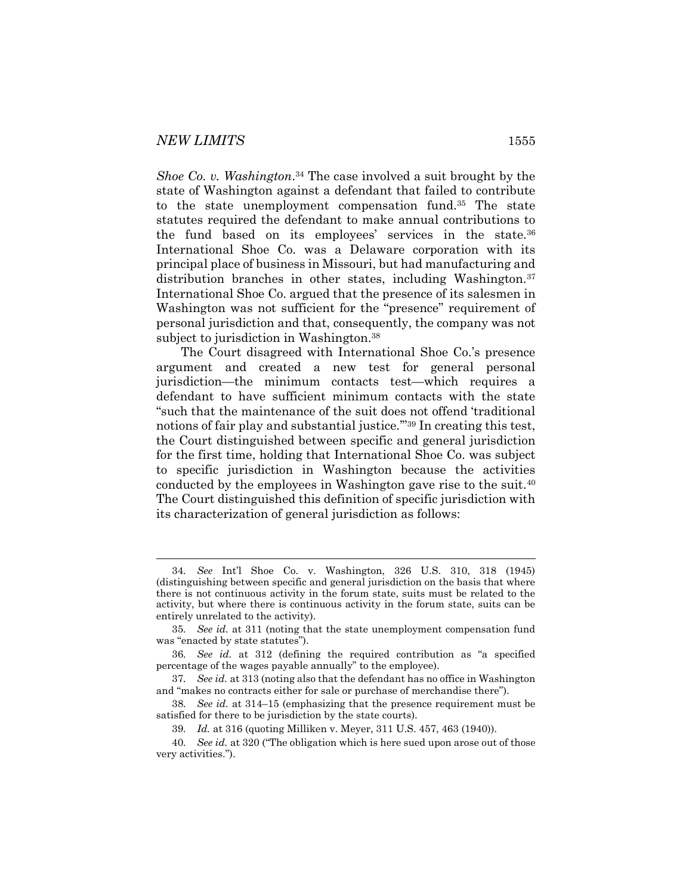*Shoe Co. v. Washington*. <sup>34</sup> The case involved a suit brought by the state of Washington against a defendant that failed to contribute to the state unemployment compensation fund.<sup>35</sup> The state statutes required the defendant to make annual contributions to the fund based on its employees' services in the state.<sup>36</sup> International Shoe Co. was a Delaware corporation with its principal place of business in Missouri, but had manufacturing and distribution branches in other states, including Washington.<sup>37</sup> International Shoe Co. argued that the presence of its salesmen in Washington was not sufficient for the "presence" requirement of personal jurisdiction and that, consequently, the company was not subject to jurisdiction in Washington.<sup>38</sup>

The Court disagreed with International Shoe Co.'s presence argument and created a new test for general personal jurisdiction—the minimum contacts test—which requires a defendant to have sufficient minimum contacts with the state "such that the maintenance of the suit does not offend 'traditional notions of fair play and substantial justice.'"<sup>39</sup> In creating this test, the Court distinguished between specific and general jurisdiction for the first time, holding that International Shoe Co. was subject to specific jurisdiction in Washington because the activities conducted by the employees in Washington gave rise to the suit.<sup>40</sup> The Court distinguished this definition of specific jurisdiction with its characterization of general jurisdiction as follows:

<sup>34</sup>*. See* Int'l Shoe Co. v. Washington, 326 U.S. 310, 318 (1945) (distinguishing between specific and general jurisdiction on the basis that where there is not continuous activity in the forum state, suits must be related to the activity, but where there is continuous activity in the forum state, suits can be entirely unrelated to the activity).

<sup>35</sup>*. See id.* at 311 (noting that the state unemployment compensation fund was "enacted by state statutes").

<sup>36</sup>*. See id.* at 312 (defining the required contribution as "a specified percentage of the wages payable annually" to the employee).

<sup>37</sup>*. See id.* at 313 (noting also that the defendant has no office in Washington and "makes no contracts either for sale or purchase of merchandise there").

<sup>38</sup>*. See id.* at 314–15 (emphasizing that the presence requirement must be satisfied for there to be jurisdiction by the state courts).

<sup>39</sup>*. Id.* at 316 (quoting Milliken v. Meyer, 311 U.S. 457, 463 (1940)).

<sup>40</sup>*. See id.* at 320 ("The obligation which is here sued upon arose out of those very activities.").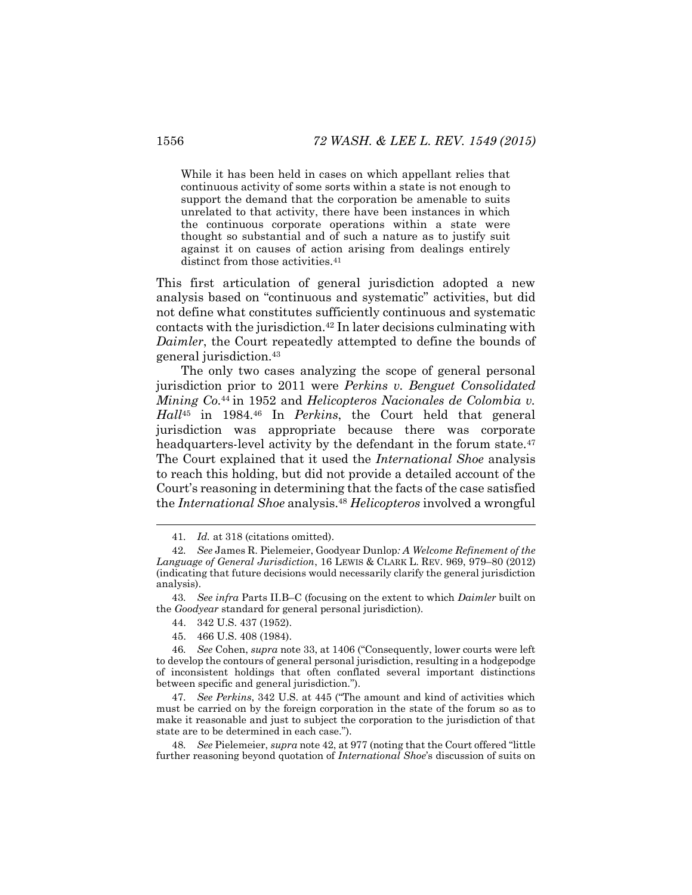While it has been held in cases on which appellant relies that continuous activity of some sorts within a state is not enough to support the demand that the corporation be amenable to suits unrelated to that activity, there have been instances in which the continuous corporate operations within a state were thought so substantial and of such a nature as to justify suit against it on causes of action arising from dealings entirely distinct from those activities.<sup>41</sup>

<span id="page-8-0"></span>This first articulation of general jurisdiction adopted a new analysis based on "continuous and systematic" activities, but did not define what constitutes sufficiently continuous and systematic contacts with the jurisdiction.<sup>42</sup> In later decisions culminating with *Daimler*, the Court repeatedly attempted to define the bounds of general jurisdiction.<sup>43</sup>

The only two cases analyzing the scope of general personal jurisdiction prior to 2011 were *Perkins v. Benguet Consolidated Mining Co.*<sup>44</sup> in 1952 and *Helicopteros Nacionales de Colombia v. Hall*<sup>45</sup> in 1984.<sup>46</sup> In *Perkins*, the Court held that general jurisdiction was appropriate because there was corporate headquarters-level activity by the defendant in the forum state.<sup>47</sup> The Court explained that it used the *International Shoe* analysis to reach this holding, but did not provide a detailed account of the Court's reasoning in determining that the facts of the case satisfied the *International Shoe* analysis.<sup>48</sup> *Helicopteros* involved a wrongful

43*. See infra* Parts II.B–C (focusing on the extent to which *Daimler* built on the *Goodyear* standard for general personal jurisdiction).

48*. See* Pielemeier, *supra* not[e 42](#page-8-0), at 977 (noting that the Court offered "little further reasoning beyond quotation of *International Shoe*'s discussion of suits on

<sup>41</sup>*. Id.* at 318 (citations omitted).

<sup>42</sup>*. See* James R. Pielemeier, Goodyear Dunlop*: A Welcome Refinement of the Language of General Jurisdiction*, 16 LEWIS & CLARK L. REV. 969, 979–80 (2012) (indicating that future decisions would necessarily clarify the general jurisdiction analysis).

<sup>44.</sup> 342 U.S. 437 (1952).

<sup>45.</sup> 466 U.S. 408 (1984).

<sup>46</sup>*. See* Cohen, *supra* not[e 33](#page-6-0), at 1406 ("Consequently, lower courts were left to develop the contours of general personal jurisdiction, resulting in a hodgepodge of inconsistent holdings that often conflated several important distinctions between specific and general jurisdiction.").

<sup>47</sup>*. See Perkins*, 342 U.S. at 445 ("The amount and kind of activities which must be carried on by the foreign corporation in the state of the forum so as to make it reasonable and just to subject the corporation to the jurisdiction of that state are to be determined in each case.").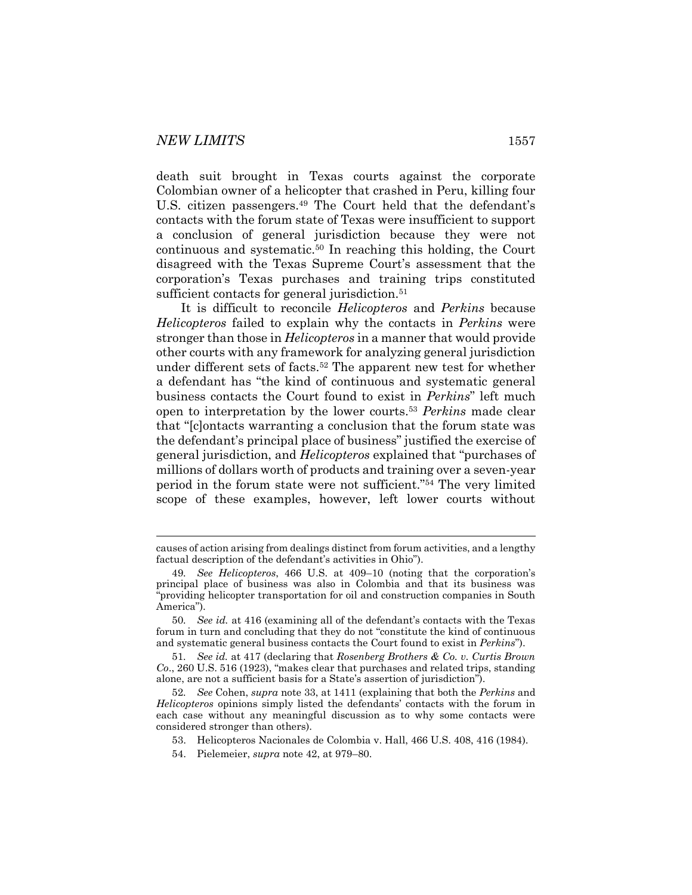l

death suit brought in Texas courts against the corporate Colombian owner of a helicopter that crashed in Peru, killing four U.S. citizen passengers.<sup>49</sup> The Court held that the defendant's contacts with the forum state of Texas were insufficient to support a conclusion of general jurisdiction because they were not continuous and systematic.<sup>50</sup> In reaching this holding, the Court disagreed with the Texas Supreme Court's assessment that the corporation's Texas purchases and training trips constituted sufficient contacts for general jurisdiction.<sup>51</sup>

It is difficult to reconcile *Helicopteros* and *Perkins* because *Helicopteros* failed to explain why the contacts in *Perkins* were stronger than those in *Helicopteros* in a manner that would provide other courts with any framework for analyzing general jurisdiction under different sets of facts.<sup>52</sup> The apparent new test for whether a defendant has "the kind of continuous and systematic general business contacts the Court found to exist in *Perkins*" left much open to interpretation by the lower courts.<sup>53</sup> *Perkins* made clear that "[c]ontacts warranting a conclusion that the forum state was the defendant's principal place of business" justified the exercise of general jurisdiction, and *Helicopteros* explained that "purchases of millions of dollars worth of products and training over a seven-year period in the forum state were not sufficient."<sup>54</sup> The very limited scope of these examples, however, left lower courts without

causes of action arising from dealings distinct from forum activities, and a lengthy factual description of the defendant's activities in Ohio").

<sup>49</sup>*. See Helicopteros*, 466 U.S. at 409–10 (noting that the corporation's principal place of business was also in Colombia and that its business was "providing helicopter transportation for oil and construction companies in South America").

<sup>50</sup>*. See id.* at 416 (examining all of the defendant's contacts with the Texas forum in turn and concluding that they do not "constitute the kind of continuous and systematic general business contacts the Court found to exist in *Perkins*").

<sup>51</sup>*. See id.* at 417 (declaring that *Rosenberg Brothers & Co. v. Curtis Brown Co*., 260 U.S. 516 (1923), "makes clear that purchases and related trips, standing alone, are not a sufficient basis for a State's assertion of jurisdiction").

<sup>52</sup>*. See* Cohen, *supra* note [33,](#page-6-0) at 1411 (explaining that both the *Perkins* and *Helicopteros* opinions simply listed the defendants' contacts with the forum in each case without any meaningful discussion as to why some contacts were considered stronger than others).

<sup>53.</sup> Helicopteros Nacionales de Colombia v. Hall, 466 U.S. 408, 416 (1984).

<sup>54.</sup> Pielemeier, *supra* not[e 42,](#page-8-0) at 979–80.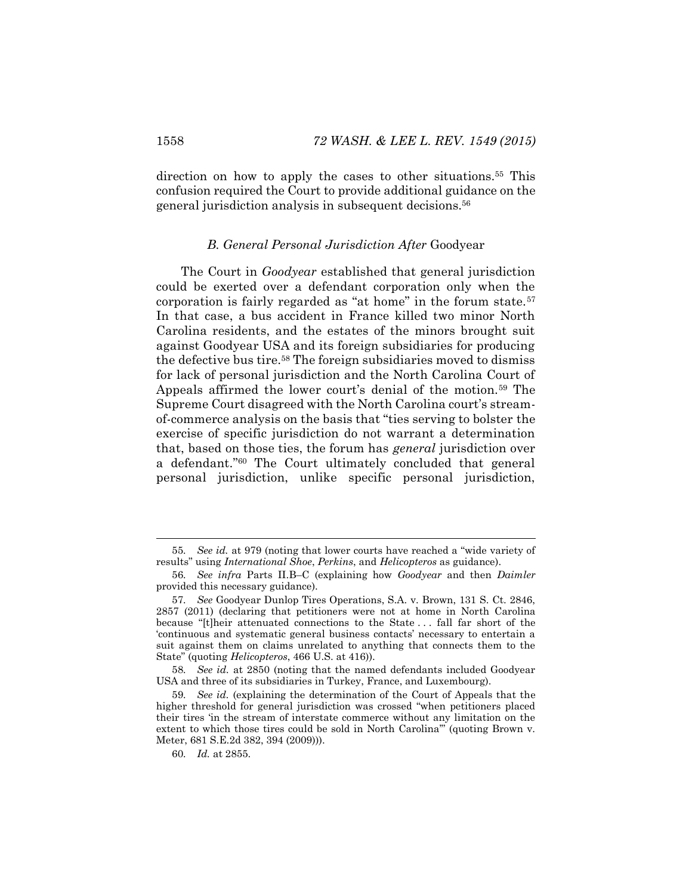direction on how to apply the cases to other situations.<sup>55</sup> This confusion required the Court to provide additional guidance on the general jurisdiction analysis in subsequent decisions.<sup>56</sup>

#### *B. General Personal Jurisdiction After* Goodyear

The Court in *Goodyear* established that general jurisdiction could be exerted over a defendant corporation only when the corporation is fairly regarded as "at home" in the forum state.<sup>57</sup> In that case, a bus accident in France killed two minor North Carolina residents, and the estates of the minors brought suit against Goodyear USA and its foreign subsidiaries for producing the defective bus tire.<sup>58</sup> The foreign subsidiaries moved to dismiss for lack of personal jurisdiction and the North Carolina Court of Appeals affirmed the lower court's denial of the motion.<sup>59</sup> The Supreme Court disagreed with the North Carolina court's streamof-commerce analysis on the basis that "ties serving to bolster the exercise of specific jurisdiction do not warrant a determination that, based on those ties, the forum has *general* jurisdiction over a defendant."<sup>60</sup> The Court ultimately concluded that general personal jurisdiction, unlike specific personal jurisdiction,

<sup>55</sup>*. See id.* at 979 (noting that lower courts have reached a "wide variety of results" using *International Shoe*, *Perkins*, and *Helicopteros* as guidance).

<sup>56</sup>*. See infra* Parts II.B–C (explaining how *Goodyear* and then *Daimler* provided this necessary guidance).

<sup>57</sup>*. See* Goodyear Dunlop Tires Operations, S.A. v. Brown, 131 S. Ct. 2846, 2857 (2011) (declaring that petitioners were not at home in North Carolina because "[t]heir attenuated connections to the State . . . fall far short of the 'continuous and systematic general business contacts' necessary to entertain a suit against them on claims unrelated to anything that connects them to the State" (quoting *Helicopteros*, 466 U.S. at 416)).

<sup>58</sup>*. See id.* at 2850 (noting that the named defendants included Goodyear USA and three of its subsidiaries in Turkey, France, and Luxembourg).

<sup>59</sup>*. See id.* (explaining the determination of the Court of Appeals that the higher threshold for general jurisdiction was crossed "when petitioners placed their tires 'in the stream of interstate commerce without any limitation on the extent to which those tires could be sold in North Carolina'" (quoting Brown v. Meter, 681 S.E.2d 382, 394 (2009))).

<sup>60</sup>*. Id.* at 2855.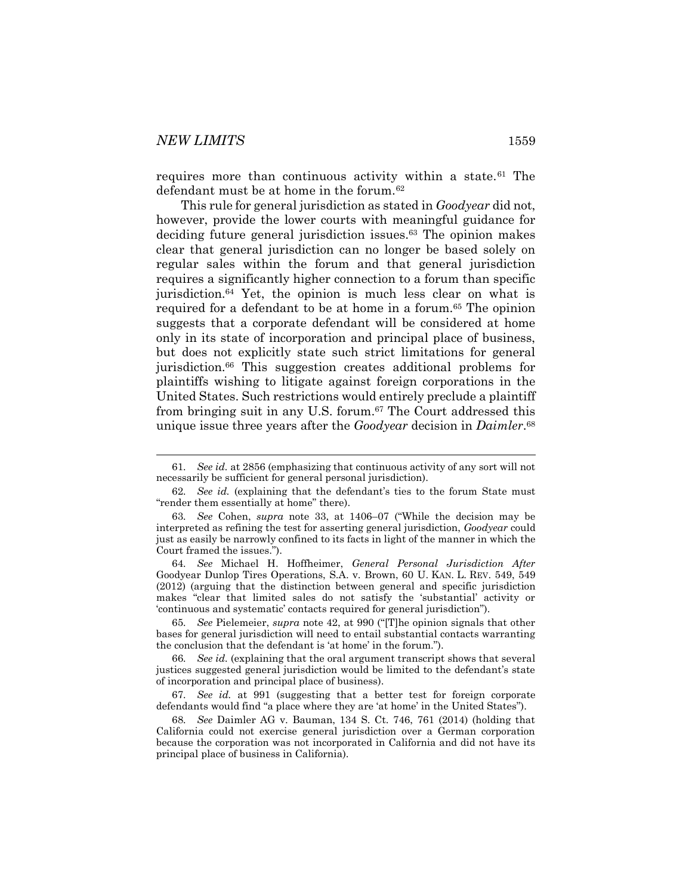l

requires more than continuous activity within a state.<sup>61</sup> The defendant must be at home in the forum.<sup>62</sup>

<span id="page-11-0"></span>This rule for general jurisdiction as stated in *Goodyear* did not, however, provide the lower courts with meaningful guidance for deciding future general jurisdiction issues.<sup>63</sup> The opinion makes clear that general jurisdiction can no longer be based solely on regular sales within the forum and that general jurisdiction requires a significantly higher connection to a forum than specific jurisdiction.<sup>64</sup> Yet, the opinion is much less clear on what is required for a defendant to be at home in a forum.<sup>65</sup> The opinion suggests that a corporate defendant will be considered at home only in its state of incorporation and principal place of business, but does not explicitly state such strict limitations for general jurisdiction.<sup>66</sup> This suggestion creates additional problems for plaintiffs wishing to litigate against foreign corporations in the United States. Such restrictions would entirely preclude a plaintiff from bringing suit in any U.S. forum.<sup>67</sup> The Court addressed this unique issue three years after the *Goodyear* decision in *Daimler*. 68

65*. See* Pielemeier, *supra* note [42](#page-8-0), at 990 ("[T]he opinion signals that other bases for general jurisdiction will need to entail substantial contacts warranting the conclusion that the defendant is 'at home' in the forum.").

67*. See id.* at 991 (suggesting that a better test for foreign corporate defendants would find "a place where they are 'at home' in the United States").

68*. See* Daimler AG v. Bauman, 134 S. Ct. 746, 761 (2014) (holding that California could not exercise general jurisdiction over a German corporation because the corporation was not incorporated in California and did not have its principal place of business in California).

<sup>61</sup>*. See id.* at 2856 (emphasizing that continuous activity of any sort will not necessarily be sufficient for general personal jurisdiction).

<sup>62</sup>*. See id.* (explaining that the defendant's ties to the forum State must "render them essentially at home" there).

<sup>63</sup>*. See* Cohen, *supra* note [33,](#page-6-0) at 1406–07 ("While the decision may be interpreted as refining the test for asserting general jurisdiction, *Goodyear* could just as easily be narrowly confined to its facts in light of the manner in which the Court framed the issues.").

<sup>64</sup>*. See* Michael H. Hoffheimer, *General Personal Jurisdiction After*  Goodyear Dunlop Tires Operations, S.A. v. Brown, 60 U. KAN. L. REV. 549, 549 (2012) (arguing that the distinction between general and specific jurisdiction makes "clear that limited sales do not satisfy the 'substantial' activity or 'continuous and systematic' contacts required for general jurisdiction").

<sup>66</sup>*. See id.* (explaining that the oral argument transcript shows that several justices suggested general jurisdiction would be limited to the defendant's state of incorporation and principal place of business).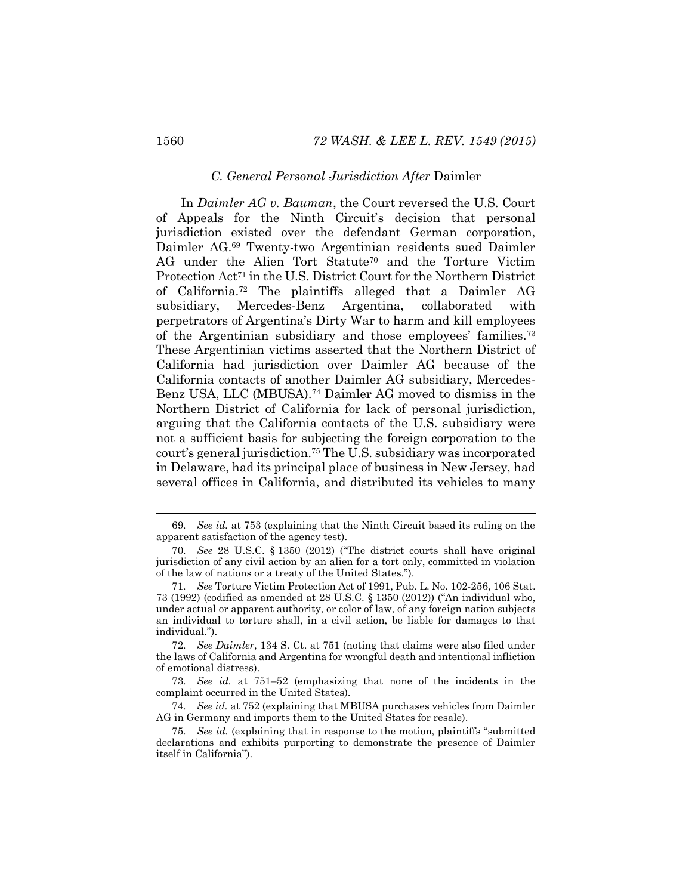#### *C. General Personal Jurisdiction After* Daimler

In *Daimler AG v. Bauman*, the Court reversed the U.S. Court of Appeals for the Ninth Circuit's decision that personal jurisdiction existed over the defendant German corporation, Daimler AG.<sup>69</sup> Twenty-two Argentinian residents sued Daimler AG under the Alien Tort Statute<sup>70</sup> and the Torture Victim Protection Act<sup>71</sup> in the U.S. District Court for the Northern District of California.<sup>72</sup> The plaintiffs alleged that a Daimler AG subsidiary, Mercedes-Benz Argentina, collaborated with perpetrators of Argentina's Dirty War to harm and kill employees of the Argentinian subsidiary and those employees' families.<sup>73</sup> These Argentinian victims asserted that the Northern District of California had jurisdiction over Daimler AG because of the California contacts of another Daimler AG subsidiary, Mercedes-Benz USA, LLC (MBUSA).<sup>74</sup> Daimler AG moved to dismiss in the Northern District of California for lack of personal jurisdiction, arguing that the California contacts of the U.S. subsidiary were not a sufficient basis for subjecting the foreign corporation to the court's general jurisdiction.<sup>75</sup> The U.S. subsidiary was incorporated in Delaware, had its principal place of business in New Jersey, had several offices in California, and distributed its vehicles to many

<sup>69</sup>*. See id.* at 753 (explaining that the Ninth Circuit based its ruling on the apparent satisfaction of the agency test).

<sup>70</sup>*. See* 28 U.S.C. § 1350 (2012) ("The district courts shall have original jurisdiction of any civil action by an alien for a tort only, committed in violation of the law of nations or a treaty of the United States.").

<sup>71</sup>*. See* Torture Victim Protection Act of 1991, Pub. L. No. 102-256, 106 Stat. 73 (1992) (codified as amended at 28 U.S.C. § 1350 (2012)) ("An individual who, under actual or apparent authority, or color of law, of any foreign nation subjects an individual to torture shall, in a civil action, be liable for damages to that individual.").

<sup>72</sup>*. See Daimler*, 134 S. Ct. at 751 (noting that claims were also filed under the laws of California and Argentina for wrongful death and intentional infliction of emotional distress).

<sup>73</sup>*. See id.* at 751–52 (emphasizing that none of the incidents in the complaint occurred in the United States).

<sup>74</sup>*. See id.* at 752 (explaining that MBUSA purchases vehicles from Daimler AG in Germany and imports them to the United States for resale).

<sup>75</sup>*. See id.* (explaining that in response to the motion, plaintiffs "submitted declarations and exhibits purporting to demonstrate the presence of Daimler itself in California").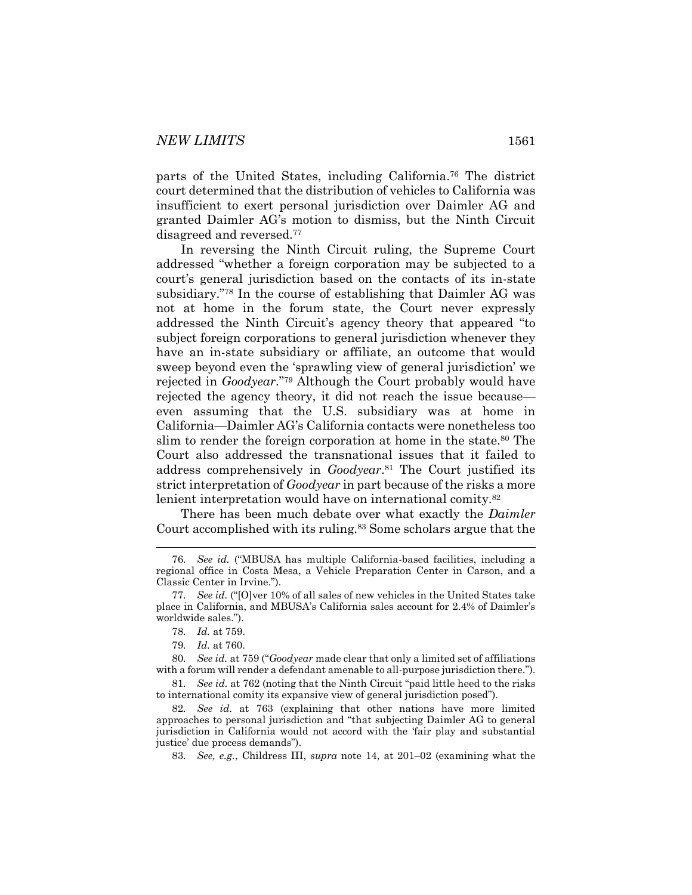parts of the United States, including California.<sup>76</sup> The district court determined that the distribution of vehicles to California was insufficient to exert personal jurisdiction over Daimler AG and granted Daimler AG's motion to dismiss, but the Ninth Circuit disagreed and reversed.<sup>77</sup>

In reversing the Ninth Circuit ruling, the Supreme Court addressed "whether a foreign corporation may be subjected to a court's general jurisdiction based on the contacts of its in-state subsidiary."<sup>78</sup> In the course of establishing that Daimler AG was not at home in the forum state, the Court never expressly addressed the Ninth Circuit's agency theory that appeared "to subject foreign corporations to general jurisdiction whenever they have an in-state subsidiary or affiliate, an outcome that would sweep beyond even the 'sprawling view of general jurisdiction' we rejected in *Goodyear*."<sup>79</sup> Although the Court probably would have rejected the agency theory, it did not reach the issue because even assuming that the U.S. subsidiary was at home in California—Daimler AG's California contacts were nonetheless too slim to render the foreign corporation at home in the state.<sup>80</sup> The Court also addressed the transnational issues that it failed to address comprehensively in *Goodyear*. <sup>81</sup> The Court justified its strict interpretation of *Goodyear* in part because of the risks a more lenient interpretation would have on international comity.<sup>82</sup>

There has been much debate over what exactly the *Daimler* Court accomplished with its ruling.<sup>83</sup> Some scholars argue that the

<sup>76</sup>*. See id.* ("MBUSA has multiple California-based facilities, including a regional office in Costa Mesa, a Vehicle Preparation Center in Carson, and a Classic Center in Irvine.").

<sup>77</sup>*. See id.* ("[O]ver 10% of all sales of new vehicles in the United States take place in California, and MBUSA's California sales account for 2.4% of Daimler's worldwide sales.").

<sup>78</sup>*. Id.* at 759.

<sup>79</sup>*. Id.* at 760.

<sup>80</sup>*. See id.* at 759 ("*Goodyear* made clear that only a limited set of affiliations with a forum will render a defendant amenable to all-purpose jurisdiction there.").

<sup>81</sup>*. See id.* at 762 (noting that the Ninth Circuit "paid little heed to the risks to international comity its expansive view of general jurisdiction posed").

<sup>82</sup>*. See id.* at 763 (explaining that other nations have more limited approaches to personal jurisdiction and "that subjecting Daimler AG to general jurisdiction in California would not accord with the 'fair play and substantial justice' due process demands").

<sup>83</sup>*. See, e.g.*, Childress III, *supra* note [14,](#page-3-0) at 201–02 (examining what the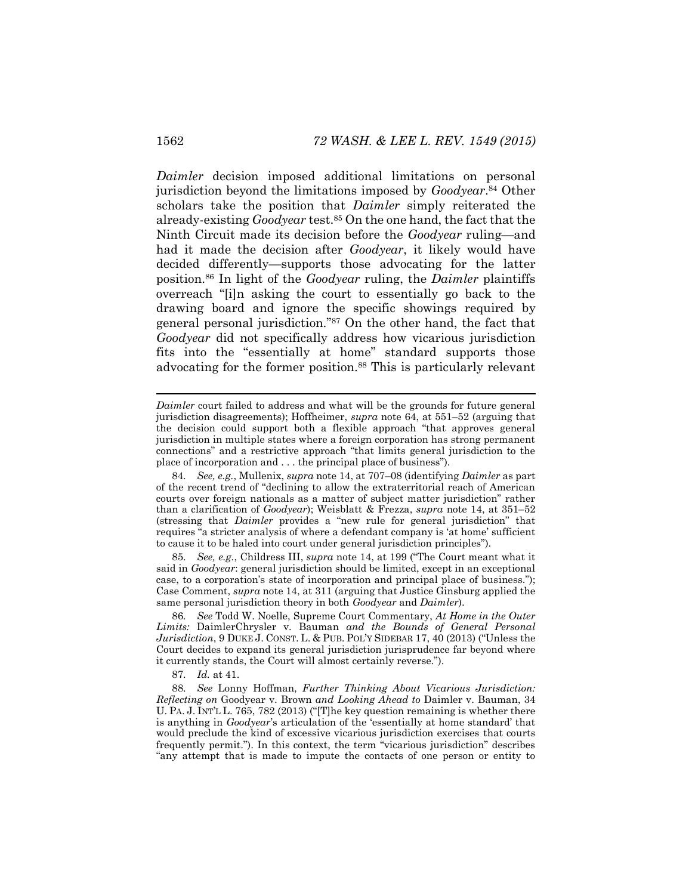*Daimler* decision imposed additional limitations on personal jurisdiction beyond the limitations imposed by *Goodyear*. <sup>84</sup> Other scholars take the position that *Daimler* simply reiterated the already-existing *Goodyear* test.<sup>85</sup> On the one hand, the fact that the Ninth Circuit made its decision before the *Goodyear* ruling—and had it made the decision after *Goodyear*, it likely would have decided differently—supports those advocating for the latter position.<sup>86</sup> In light of the *Goodyear* ruling, the *Daimler* plaintiffs overreach "[i]n asking the court to essentially go back to the drawing board and ignore the specific showings required by general personal jurisdiction."<sup>87</sup> On the other hand, the fact that *Goodyear* did not specifically address how vicarious jurisdiction fits into the "essentially at home" standard supports those advocating for the former position.<sup>88</sup> This is particularly relevant

85*. See, e.g.*, Childress III, *supra* note [14](#page-3-0), at 199 ("The Court meant what it said in *Goodyear*: general jurisdiction should be limited, except in an exceptional case, to a corporation's state of incorporation and principal place of business."); Case Comment, *supra* note [14,](#page-3-0) at 311 (arguing that Justice Ginsburg applied the same personal jurisdiction theory in both *Goodyear* and *Daimler*).

86*. See* Todd W. Noelle, Supreme Court Commentary, *At Home in the Outer Limits:* DaimlerChrysler v. Bauman *and the Bounds of General Personal Jurisdiction*, 9 DUKE J. CONST. L. & PUB. POL'Y SIDEBAR 17, 40 (2013) ("Unless the Court decides to expand its general jurisdiction jurisprudence far beyond where it currently stands, the Court will almost certainly reverse.").

87*. Id.* at 41.

88*. See* Lonny Hoffman, *Further Thinking About Vicarious Jurisdiction: Reflecting on* Goodyear v. Brown *and Looking Ahead to* Daimler v. Bauman, 34 U. PA. J. INT'L L. 765, 782 (2013) ("[T]he key question remaining is whether there is anything in *Goodyear*'s articulation of the 'essentially at home standard' that would preclude the kind of excessive vicarious jurisdiction exercises that courts frequently permit."). In this context, the term "vicarious jurisdiction" describes "any attempt that is made to impute the contacts of one person or entity to

l

*Daimler* court failed to address and what will be the grounds for future general jurisdiction disagreements); Hoffheimer, *supra* note [64,](#page-11-0) at 551–52 (arguing that the decision could support both a flexible approach "that approves general jurisdiction in multiple states where a foreign corporation has strong permanent connections" and a restrictive approach "that limits general jurisdiction to the place of incorporation and . . . the principal place of business").

<sup>84</sup>*. See, e.g.*, Mullenix, *supra* note [14,](#page-3-0) at 707–08 (identifying *Daimler* as part of the recent trend of "declining to allow the extraterritorial reach of American courts over foreign nationals as a matter of subject matter jurisdiction" rather than a clarification of *Goodyear*); Weisblatt & Frezza, *supra* note [14,](#page-3-0) at 351–52 (stressing that *Daimler* provides a "new rule for general jurisdiction" that requires "a stricter analysis of where a defendant company is 'at home' sufficient to cause it to be haled into court under general jurisdiction principles").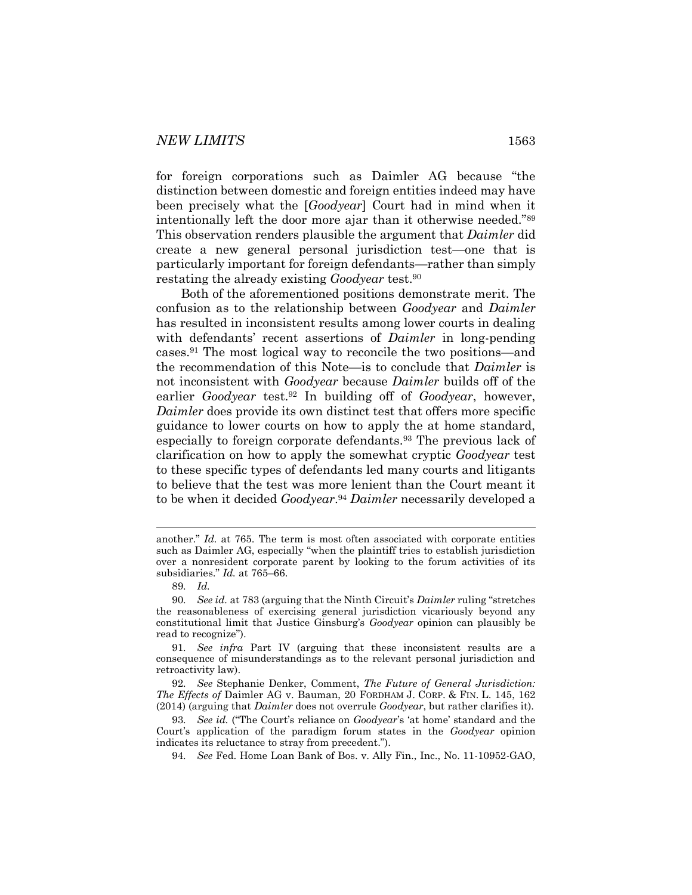for foreign corporations such as Daimler AG because "the distinction between domestic and foreign entities indeed may have been precisely what the [*Goodyear*] Court had in mind when it intentionally left the door more ajar than it otherwise needed."<sup>89</sup> This observation renders plausible the argument that *Daimler* did create a new general personal jurisdiction test—one that is particularly important for foreign defendants—rather than simply restating the already existing *Goodyear* test.<sup>90</sup>

<span id="page-15-0"></span>Both of the aforementioned positions demonstrate merit. The confusion as to the relationship between *Goodyear* and *Daimler* has resulted in inconsistent results among lower courts in dealing with defendants' recent assertions of *Daimler* in long-pending cases.<sup>91</sup> The most logical way to reconcile the two positions—and the recommendation of this Note—is to conclude that *Daimler* is not inconsistent with *Goodyear* because *Daimler* builds off of the earlier *Goodyear* test.<sup>92</sup> In building off of *Goodyear*, however, *Daimler* does provide its own distinct test that offers more specific guidance to lower courts on how to apply the at home standard, especially to foreign corporate defendants.<sup>93</sup> The previous lack of clarification on how to apply the somewhat cryptic *Goodyear* test to these specific types of defendants led many courts and litigants to believe that the test was more lenient than the Court meant it to be when it decided *Goodyear*. <sup>94</sup> *Daimler* necessarily developed a

another." *Id.* at 765. The term is most often associated with corporate entities such as Daimler AG, especially "when the plaintiff tries to establish jurisdiction over a nonresident corporate parent by looking to the forum activities of its subsidiaries." *Id.* at 765–66.

<sup>89</sup>*. Id.*

<sup>90</sup>*. See id.* at 783 (arguing that the Ninth Circuit's *Daimler* ruling "stretches the reasonableness of exercising general jurisdiction vicariously beyond any constitutional limit that Justice Ginsburg's *Goodyear* opinion can plausibly be read to recognize").

<sup>91</sup>*. See infra* Part IV (arguing that these inconsistent results are a consequence of misunderstandings as to the relevant personal jurisdiction and retroactivity law).

<sup>92</sup>*. See* Stephanie Denker, Comment, *The Future of General Jurisdiction: The Effects of* Daimler AG v. Bauman, 20 FORDHAM J. CORP. & FIN. L. 145, 162 (2014) (arguing that *Daimler* does not overrule *Goodyear*, but rather clarifies it).

<sup>93</sup>*. See id.* ("The Court's reliance on *Goodyear*'s 'at home' standard and the Court's application of the paradigm forum states in the *Goodyear* opinion indicates its reluctance to stray from precedent.").

<sup>94</sup>*. See* Fed. Home Loan Bank of Bos. v. Ally Fin., Inc., No. 11-10952-GAO,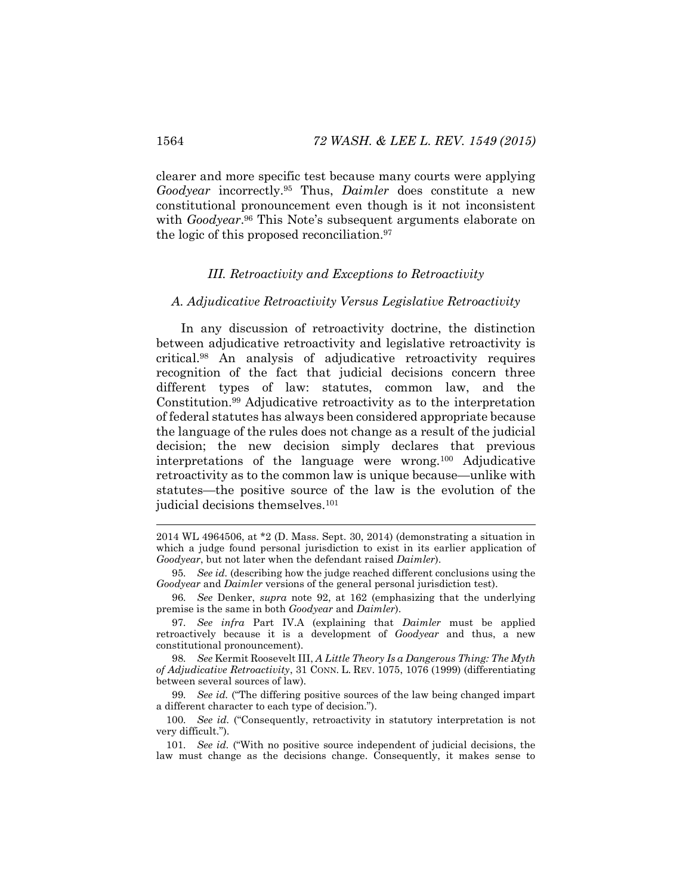clearer and more specific test because many courts were applying *Goodyear* incorrectly.<sup>95</sup> Thus, *Daimler* does constitute a new constitutional pronouncement even though is it not inconsistent with *Goodyear*. <sup>96</sup> This Note's subsequent arguments elaborate on the logic of this proposed reconciliation.<sup>97</sup>

#### <span id="page-16-0"></span>*III. Retroactivity and Exceptions to Retroactivity*

#### *A. Adjudicative Retroactivity Versus Legislative Retroactivity*

In any discussion of retroactivity doctrine, the distinction between adjudicative retroactivity and legislative retroactivity is critical.<sup>98</sup> An analysis of adjudicative retroactivity requires recognition of the fact that judicial decisions concern three different types of law: statutes, common law, and the Constitution.<sup>99</sup> Adjudicative retroactivity as to the interpretation of federal statutes has always been considered appropriate because the language of the rules does not change as a result of the judicial decision; the new decision simply declares that previous interpretations of the language were wrong.<sup>100</sup> Adjudicative retroactivity as to the common law is unique because—unlike with statutes—the positive source of the law is the evolution of the judicial decisions themselves.<sup>101</sup>

98*. See* Kermit Roosevelt III, *A Little Theory Is a Dangerous Thing: The Myth of Adjudicative Retroactivity*, 31 CONN. L. REV. 1075, 1076 (1999) (differentiating between several sources of law).

99*. See id.* ("The differing positive sources of the law being changed impart a different character to each type of decision.").

100*. See id.* ("Consequently, retroactivity in statutory interpretation is not very difficult.").

101*. See id.* ("With no positive source independent of judicial decisions, the law must change as the decisions change. Consequently, it makes sense to

<sup>2014</sup> WL 4964506, at \*2 (D. Mass. Sept. 30, 2014) (demonstrating a situation in which a judge found personal jurisdiction to exist in its earlier application of *Goodyear*, but not later when the defendant raised *Daimler*).

<sup>95</sup>*. See id.* (describing how the judge reached different conclusions using the *Goodyear* and *Daimler* versions of the general personal jurisdiction test).

<sup>96</sup>*. See* Denker, *supra* note [92,](#page-15-0) at 162 (emphasizing that the underlying premise is the same in both *Goodyear* and *Daimler*).

<sup>97</sup>*. See infra* Part IV.A (explaining that *Daimler* must be applied retroactively because it is a development of *Goodyear* and thus, a new constitutional pronouncement).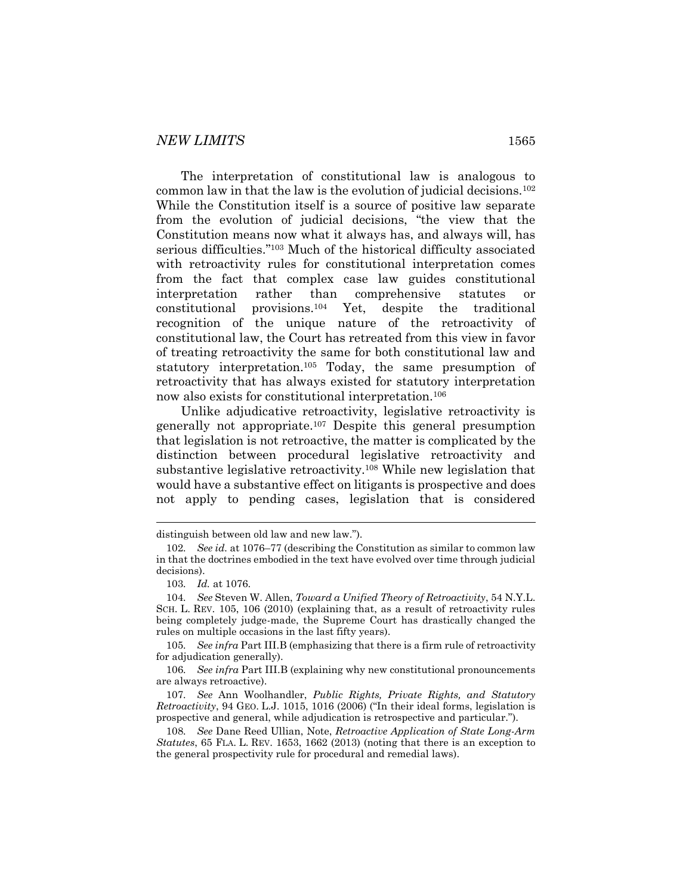The interpretation of constitutional law is analogous to common law in that the law is the evolution of judicial decisions.<sup>102</sup> While the Constitution itself is a source of positive law separate from the evolution of judicial decisions, "the view that the Constitution means now what it always has, and always will, has serious difficulties."<sup>103</sup> Much of the historical difficulty associated with retroactivity rules for constitutional interpretation comes from the fact that complex case law guides constitutional interpretation rather than comprehensive statutes or constitutional provisions.<sup>104</sup> Yet, despite the traditional recognition of the unique nature of the retroactivity of constitutional law, the Court has retreated from this view in favor of treating retroactivity the same for both constitutional law and statutory interpretation.<sup>105</sup> Today, the same presumption of retroactivity that has always existed for statutory interpretation now also exists for constitutional interpretation.<sup>106</sup>

<span id="page-17-0"></span>Unlike adjudicative retroactivity, legislative retroactivity is generally not appropriate.<sup>107</sup> Despite this general presumption that legislation is not retroactive, the matter is complicated by the distinction between procedural legislative retroactivity and substantive legislative retroactivity.<sup>108</sup> While new legislation that would have a substantive effect on litigants is prospective and does not apply to pending cases, legislation that is considered

<span id="page-17-1"></span>l

distinguish between old law and new law.").

<sup>102</sup>*. See id.* at 1076–77 (describing the Constitution as similar to common law in that the doctrines embodied in the text have evolved over time through judicial decisions).

<sup>103</sup>*. Id.* at 1076.

<sup>104</sup>*. See* Steven W. Allen, *Toward a Unified Theory of Retroactivity*, 54 N.Y.L. SCH. L. REV. 105, 106 (2010) (explaining that, as a result of retroactivity rules being completely judge-made, the Supreme Court has drastically changed the rules on multiple occasions in the last fifty years).

<sup>105</sup>*. See infra* Part III.B (emphasizing that there is a firm rule of retroactivity for adjudication generally).

<sup>106</sup>*. See infra* Part III.B (explaining why new constitutional pronouncements are always retroactive).

<sup>107</sup>*. See* Ann Woolhandler, *Public Rights, Private Rights, and Statutory Retroactivity*, 94 GEO. L.J. 1015, 1016 (2006) ("In their ideal forms, legislation is prospective and general, while adjudication is retrospective and particular.").

<sup>108</sup>*. See* Dane Reed Ullian, Note, *Retroactive Application of State Long-Arm Statutes*, 65 FLA. L. REV. 1653, 1662 (2013) (noting that there is an exception to the general prospectivity rule for procedural and remedial laws).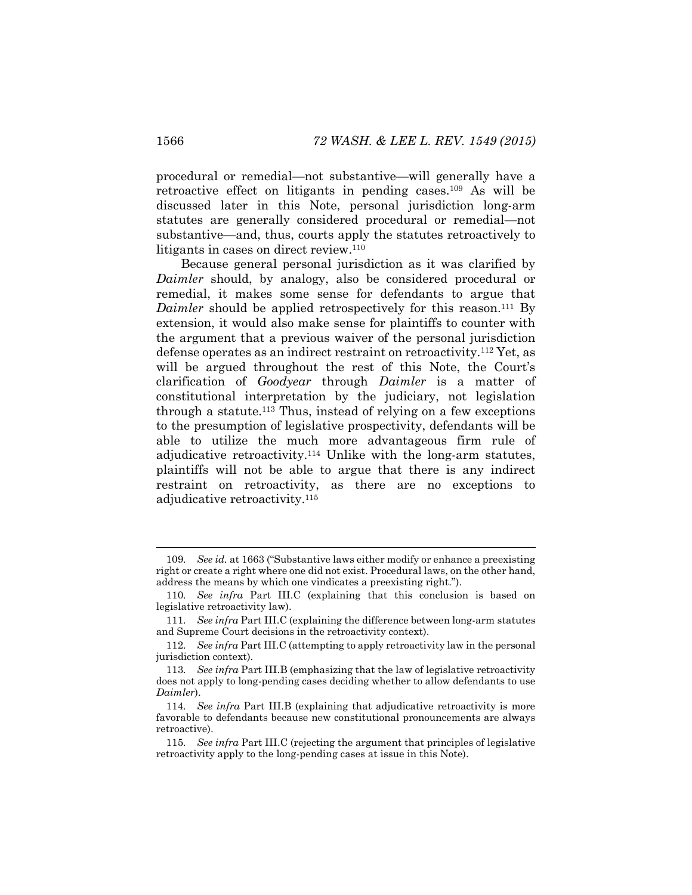procedural or remedial—not substantive—will generally have a retroactive effect on litigants in pending cases.<sup>109</sup> As will be discussed later in this Note, personal jurisdiction long-arm statutes are generally considered procedural or remedial—not substantive—and, thus, courts apply the statutes retroactively to litigants in cases on direct review.<sup>110</sup>

Because general personal jurisdiction as it was clarified by *Daimler* should, by analogy, also be considered procedural or remedial, it makes some sense for defendants to argue that *Daimler* should be applied retrospectively for this reason.<sup>111</sup> By extension, it would also make sense for plaintiffs to counter with the argument that a previous waiver of the personal jurisdiction defense operates as an indirect restraint on retroactivity.<sup>112</sup> Yet, as will be argued throughout the rest of this Note, the Court's clarification of *Goodyear* through *Daimler* is a matter of constitutional interpretation by the judiciary, not legislation through a statute.<sup>113</sup> Thus, instead of relying on a few exceptions to the presumption of legislative prospectivity, defendants will be able to utilize the much more advantageous firm rule of adjudicative retroactivity.<sup>114</sup> Unlike with the long-arm statutes, plaintiffs will not be able to argue that there is any indirect restraint on retroactivity, as there are no exceptions to adjudicative retroactivity.<sup>115</sup>

<sup>109</sup>*. See id.* at 1663 ("Substantive laws either modify or enhance a preexisting right or create a right where one did not exist. Procedural laws, on the other hand, address the means by which one vindicates a preexisting right.").

<sup>110</sup>*. See infra* Part III.C (explaining that this conclusion is based on legislative retroactivity law).

<sup>111</sup>*. See infra* Part III.C (explaining the difference between long-arm statutes and Supreme Court decisions in the retroactivity context).

<sup>112</sup>*. See infra* Part III.C (attempting to apply retroactivity law in the personal jurisdiction context).

<sup>113</sup>*. See infra* Part III.B (emphasizing that the law of legislative retroactivity does not apply to long-pending cases deciding whether to allow defendants to use *Daimler*).

<sup>114</sup>*. See infra* Part III.B (explaining that adjudicative retroactivity is more favorable to defendants because new constitutional pronouncements are always retroactive).

<sup>115</sup>*. See infra* Part III.C (rejecting the argument that principles of legislative retroactivity apply to the long-pending cases at issue in this Note).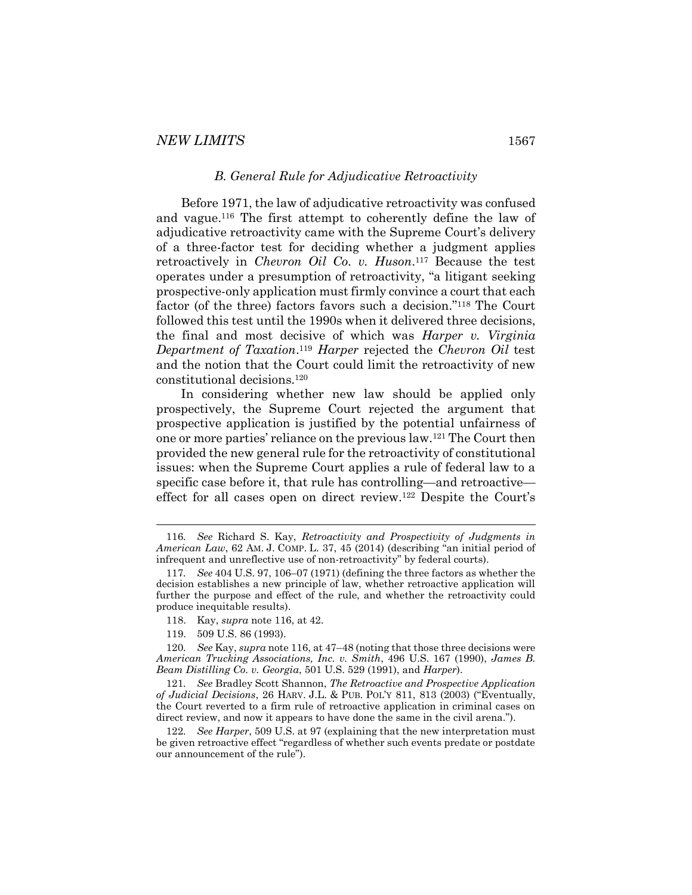#### <span id="page-19-0"></span>*B. General Rule for Adjudicative Retroactivity*

Before 1971, the law of adjudicative retroactivity was confused and vague. <sup>116</sup> The first attempt to coherently define the law of adjudicative retroactivity came with the Supreme Court's delivery of a three-factor test for deciding whether a judgment applies retroactively in *Chevron Oil Co. v. Huson*. <sup>117</sup> Because the test operates under a presumption of retroactivity, "a litigant seeking prospective-only application must firmly convince a court that each factor (of the three) factors favors such a decision."<sup>118</sup> The Court followed this test until the 1990s when it delivered three decisions, the final and most decisive of which was *Harper v. Virginia Department of Taxation*. <sup>119</sup> *Harper* rejected the *Chevron Oil* test and the notion that the Court could limit the retroactivity of new constitutional decisions.<sup>120</sup>

In considering whether new law should be applied only prospectively, the Supreme Court rejected the argument that prospective application is justified by the potential unfairness of one or more parties' reliance on the previous law.<sup>121</sup> The Court then provided the new general rule for the retroactivity of constitutional issues: when the Supreme Court applies a rule of federal law to a specific case before it, that rule has controlling—and retroactive effect for all cases open on direct review.<sup>122</sup> Despite the Court's

<sup>116</sup>*. See* Richard S. Kay, *Retroactivity and Prospectivity of Judgments in American Law*, 62 AM. J. COMP. L. 37, 45 (2014) (describing "an initial period of infrequent and unreflective use of non-retroactivity" by federal courts).

<sup>117</sup>*. See* 404 U.S. 97, 106–07 (1971) (defining the three factors as whether the decision establishes a new principle of law, whether retroactive application will further the purpose and effect of the rule, and whether the retroactivity could produce inequitable results).

<sup>118.</sup> Kay, *supra* note [116,](#page-19-0) at 42.

<sup>119.</sup> 509 U.S. 86 (1993).

<sup>120</sup>*. See* Kay, *supra* not[e 116,](#page-19-0) at 47–48 (noting that those three decisions were *American Trucking Associations, Inc. v. Smith*, 496 U.S. 167 (1990), *James B. Beam Distilling Co. v. Georgia*, 501 U.S. 529 (1991), and *Harper*).

<sup>121</sup>*. See* Bradley Scott Shannon, *The Retroactive and Prospective Application of Judicial Decisions*, 26 HARV. J.L. & PUB. POL'Y 811, 813 (2003) ("Eventually, the Court reverted to a firm rule of retroactive application in criminal cases on direct review, and now it appears to have done the same in the civil arena.").

<sup>122</sup>*. See Harper*, 509 U.S. at 97 (explaining that the new interpretation must be given retroactive effect "regardless of whether such events predate or postdate our announcement of the rule").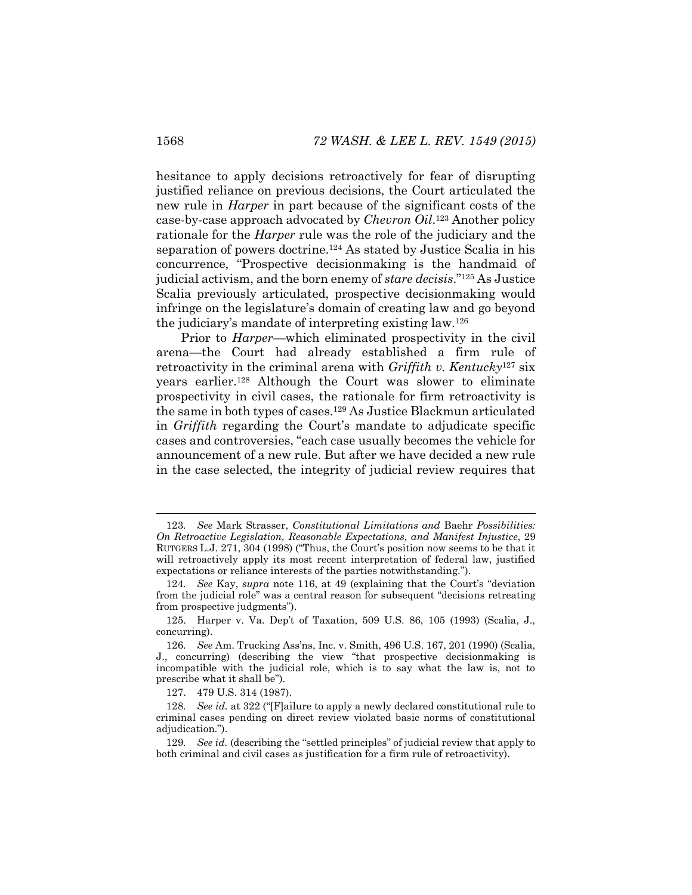hesitance to apply decisions retroactively for fear of disrupting justified reliance on previous decisions, the Court articulated the new rule in *Harper* in part because of the significant costs of the case-by-case approach advocated by *Chevron Oil*. <sup>123</sup> Another policy rationale for the *Harper* rule was the role of the judiciary and the separation of powers doctrine.<sup>124</sup> As stated by Justice Scalia in his concurrence, "Prospective decisionmaking is the handmaid of judicial activism, and the born enemy of *stare decisis*."<sup>125</sup> As Justice Scalia previously articulated, prospective decisionmaking would infringe on the legislature's domain of creating law and go beyond the judiciary's mandate of interpreting existing law.<sup>126</sup>

Prior to *Harper*—which eliminated prospectivity in the civil arena—the Court had already established a firm rule of retroactivity in the criminal arena with *Griffith v. Kentucky*<sup>127</sup> six years earlier.<sup>128</sup> Although the Court was slower to eliminate prospectivity in civil cases, the rationale for firm retroactivity is the same in both types of cases.<sup>129</sup> As Justice Blackmun articulated in *Griffith* regarding the Court's mandate to adjudicate specific cases and controversies, "each case usually becomes the vehicle for announcement of a new rule. But after we have decided a new rule in the case selected, the integrity of judicial review requires that

127. 479 U.S. 314 (1987).

<sup>123</sup>*. See* Mark Strasser, *Constitutional Limitations and* Baehr *Possibilities: On Retroactive Legislation, Reasonable Expectations, and Manifest Injustice*, 29 RUTGERS L.J. 271, 304 (1998) ("Thus, the Court's position now seems to be that it will retroactively apply its most recent interpretation of federal law, justified expectations or reliance interests of the parties notwithstanding.").

<sup>124</sup>*. See* Kay, *supra* note [116](#page-19-0), at 49 (explaining that the Court's "deviation from the judicial role" was a central reason for subsequent "decisions retreating from prospective judgments").

<sup>125.</sup> Harper v. Va. Dep't of Taxation, 509 U.S. 86, 105 (1993) (Scalia, J., concurring).

<sup>126</sup>*. See* Am. Trucking Ass'ns, Inc. v. Smith, 496 U.S. 167, 201 (1990) (Scalia, J., concurring) (describing the view "that prospective decisionmaking is incompatible with the judicial role, which is to say what the law is, not to prescribe what it shall be").

<sup>128</sup>*. See id.* at 322 ("[F]ailure to apply a newly declared constitutional rule to criminal cases pending on direct review violated basic norms of constitutional adjudication.").

<sup>129</sup>*. See id.* (describing the "settled principles" of judicial review that apply to both criminal and civil cases as justification for a firm rule of retroactivity).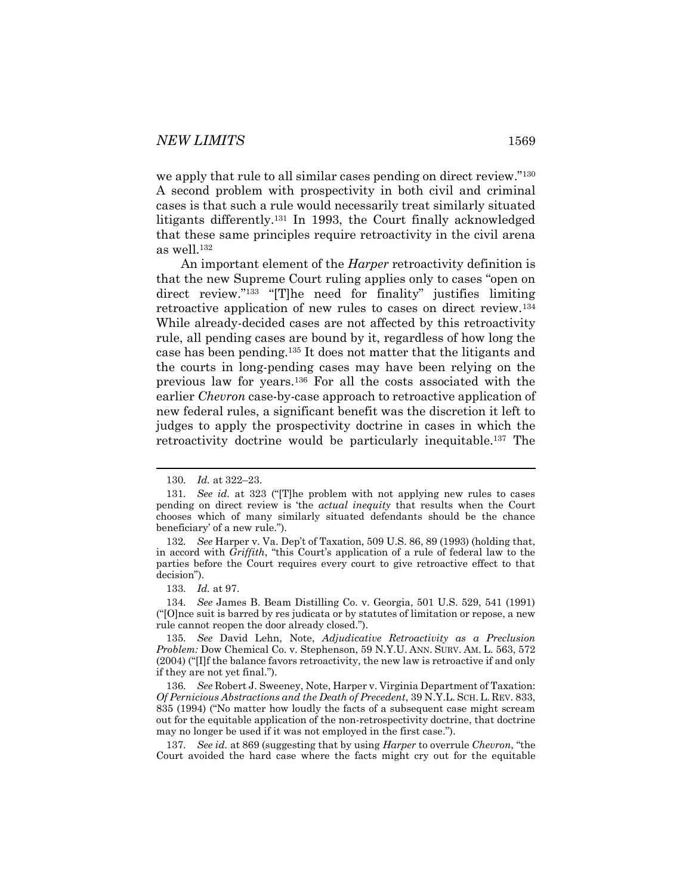we apply that rule to all similar cases pending on direct review."<sup>130</sup> A second problem with prospectivity in both civil and criminal cases is that such a rule would necessarily treat similarly situated litigants differently.<sup>131</sup> In 1993, the Court finally acknowledged that these same principles require retroactivity in the civil arena as well.<sup>132</sup>

An important element of the *Harper* retroactivity definition is that the new Supreme Court ruling applies only to cases "open on direct review."<sup>133</sup> "[T]he need for finality" justifies limiting retroactive application of new rules to cases on direct review.<sup>134</sup> While already-decided cases are not affected by this retroactivity rule, all pending cases are bound by it, regardless of how long the case has been pending.<sup>135</sup> It does not matter that the litigants and the courts in long-pending cases may have been relying on the previous law for years.<sup>136</sup> For all the costs associated with the earlier *Chevron* case-by-case approach to retroactive application of new federal rules, a significant benefit was the discretion it left to judges to apply the prospectivity doctrine in cases in which the retroactivity doctrine would be particularly inequitable.<sup>137</sup> The

l

133*. Id.* at 97.

134*. See* James B. Beam Distilling Co. v. Georgia, 501 U.S. 529, 541 (1991) ("[O]nce suit is barred by res judicata or by statutes of limitation or repose, a new rule cannot reopen the door already closed.").

<sup>130</sup>*. Id.* at 322–23.

<sup>131</sup>*. See id.* at 323 ("[T]he problem with not applying new rules to cases pending on direct review is 'the *actual inequity* that results when the Court chooses which of many similarly situated defendants should be the chance beneficiary' of a new rule.").

<sup>132</sup>*. See* Harper v. Va. Dep't of Taxation, 509 U.S. 86, 89 (1993) (holding that, in accord with *Griffith*, "this Court's application of a rule of federal law to the parties before the Court requires every court to give retroactive effect to that decision").

<sup>135</sup>*. See* David Lehn, Note, *Adjudicative Retroactivity as a Preclusion Problem:* Dow Chemical Co. v. Stephenson, 59 N.Y.U. ANN. SURV. AM. L. 563, 572 (2004) ("[I]f the balance favors retroactivity, the new law is retroactive if and only if they are not yet final.").

<sup>136</sup>*. See* Robert J. Sweeney, Note, Harper v. Virginia Department of Taxation: *Of Pernicious Abstractions and the Death of Precedent*, 39 N.Y.L. SCH. L. REV. 833, 835 (1994) ("No matter how loudly the facts of a subsequent case might scream out for the equitable application of the non-retrospectivity doctrine, that doctrine may no longer be used if it was not employed in the first case.").

<sup>137</sup>*. See id.* at 869 (suggesting that by using *Harper* to overrule *Chevron*, "the Court avoided the hard case where the facts might cry out for the equitable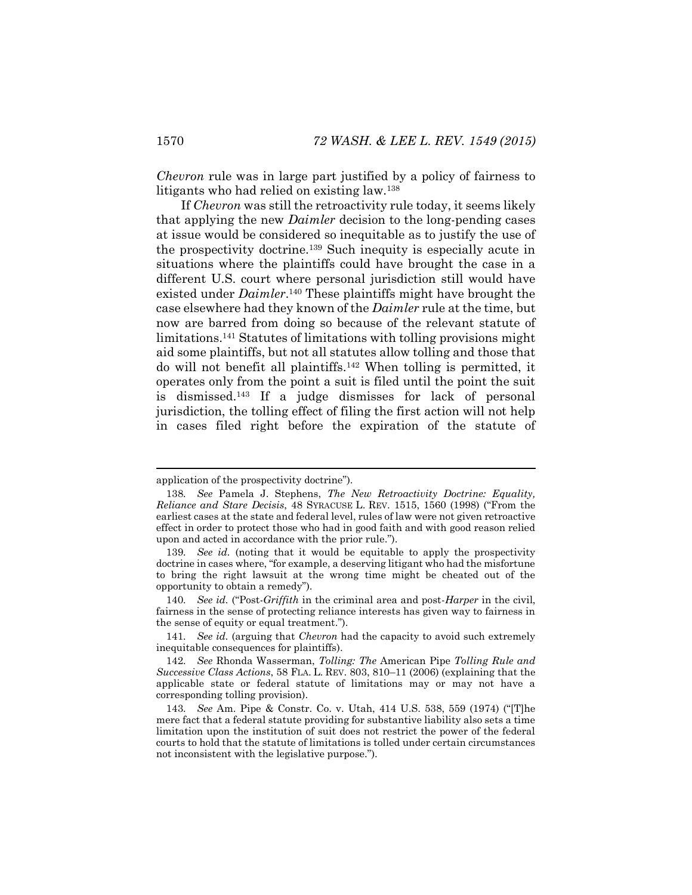<span id="page-22-0"></span>*Chevron* rule was in large part justified by a policy of fairness to litigants who had relied on existing law.<sup>138</sup>

If *Chevron* was still the retroactivity rule today, it seems likely that applying the new *Daimler* decision to the long-pending cases at issue would be considered so inequitable as to justify the use of the prospectivity doctrine.<sup>139</sup> Such inequity is especially acute in situations where the plaintiffs could have brought the case in a different U.S. court where personal jurisdiction still would have existed under *Daimler*. <sup>140</sup> These plaintiffs might have brought the case elsewhere had they known of the *Daimler* rule at the time, but now are barred from doing so because of the relevant statute of limitations.<sup>141</sup> Statutes of limitations with tolling provisions might aid some plaintiffs, but not all statutes allow tolling and those that do will not benefit all plaintiffs.<sup>142</sup> When tolling is permitted, it operates only from the point a suit is filed until the point the suit is dismissed.<sup>143</sup> If a judge dismisses for lack of personal jurisdiction, the tolling effect of filing the first action will not help in cases filed right before the expiration of the statute of

l

application of the prospectivity doctrine").

<sup>138</sup>*. See* Pamela J. Stephens, *The New Retroactivity Doctrine: Equality, Reliance and Stare Decisis*, 48 SYRACUSE L. REV. 1515, 1560 (1998) ("From the earliest cases at the state and federal level, rules of law were not given retroactive effect in order to protect those who had in good faith and with good reason relied upon and acted in accordance with the prior rule.").

<sup>139</sup>*. See id.* (noting that it would be equitable to apply the prospectivity doctrine in cases where, "for example, a deserving litigant who had the misfortune to bring the right lawsuit at the wrong time might be cheated out of the opportunity to obtain a remedy").

<sup>140</sup>*. See id.* ("Post-*Griffith* in the criminal area and post-*Harper* in the civil, fairness in the sense of protecting reliance interests has given way to fairness in the sense of equity or equal treatment.").

<sup>141</sup>*. See id.* (arguing that *Chevron* had the capacity to avoid such extremely inequitable consequences for plaintiffs).

<sup>142</sup>*. See* Rhonda Wasserman, *Tolling: The* American Pipe *Tolling Rule and Successive Class Actions*, 58 FLA. L. REV. 803, 810–11 (2006) (explaining that the applicable state or federal statute of limitations may or may not have a corresponding tolling provision).

<sup>143</sup>*. See* Am. Pipe & Constr. Co. v. Utah, 414 U.S. 538, 559 (1974) ("[T]he mere fact that a federal statute providing for substantive liability also sets a time limitation upon the institution of suit does not restrict the power of the federal courts to hold that the statute of limitations is tolled under certain circumstances not inconsistent with the legislative purpose.").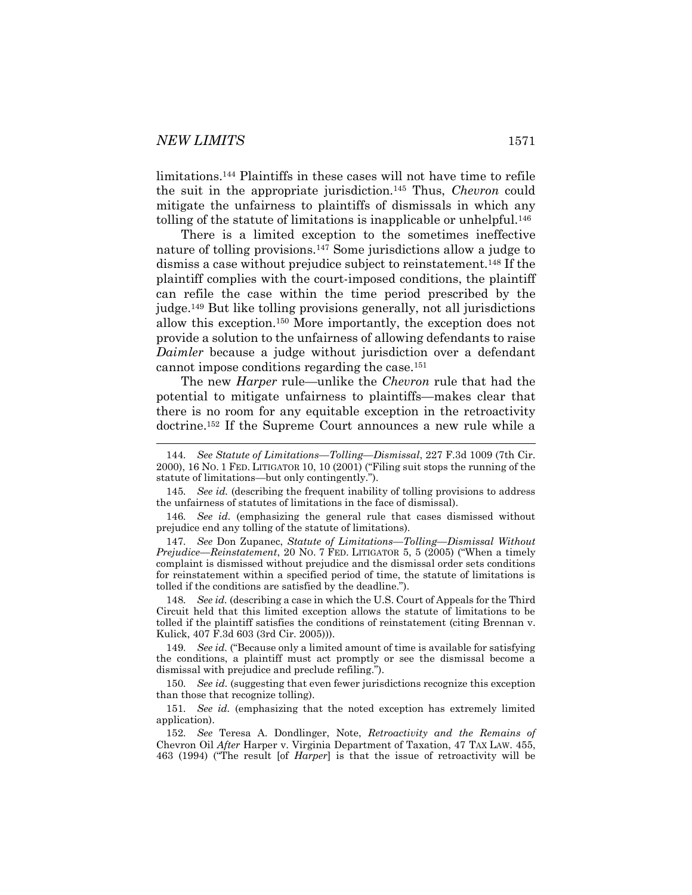limitations.<sup>144</sup> Plaintiffs in these cases will not have time to refile the suit in the appropriate jurisdiction.<sup>145</sup> Thus, *Chevron* could mitigate the unfairness to plaintiffs of dismissals in which any tolling of the statute of limitations is inapplicable or unhelpful.<sup>146</sup>

There is a limited exception to the sometimes ineffective nature of tolling provisions.<sup>147</sup> Some jurisdictions allow a judge to dismiss a case without prejudice subject to reinstatement.<sup>148</sup> If the plaintiff complies with the court-imposed conditions, the plaintiff can refile the case within the time period prescribed by the judge.<sup>149</sup> But like tolling provisions generally, not all jurisdictions allow this exception.<sup>150</sup> More importantly, the exception does not provide a solution to the unfairness of allowing defendants to raise *Daimler* because a judge without jurisdiction over a defendant cannot impose conditions regarding the case.<sup>151</sup>

The new *Harper* rule—unlike the *Chevron* rule that had the potential to mitigate unfairness to plaintiffs—makes clear that there is no room for any equitable exception in the retroactivity doctrine.<sup>152</sup> If the Supreme Court announces a new rule while a

147*. See* Don Zupanec, *Statute of Limitations—Tolling—Dismissal Without Prejudice—Reinstatement*, 20 NO. 7 FED. LITIGATOR 5, 5 (2005) ("When a timely complaint is dismissed without prejudice and the dismissal order sets conditions for reinstatement within a specified period of time, the statute of limitations is tolled if the conditions are satisfied by the deadline.").

148*. See id.* (describing a case in which the U.S. Court of Appeals for the Third Circuit held that this limited exception allows the statute of limitations to be tolled if the plaintiff satisfies the conditions of reinstatement (citing Brennan v. Kulick, 407 F.3d 603 (3rd Cir. 2005))).

149*. See id.* ("Because only a limited amount of time is available for satisfying the conditions, a plaintiff must act promptly or see the dismissal become a dismissal with prejudice and preclude refiling.").

150*. See id.* (suggesting that even fewer jurisdictions recognize this exception than those that recognize tolling).

152*. See* Teresa A. Dondlinger, Note, *Retroactivity and the Remains of*  Chevron Oil *After* Harper v. Virginia Department of Taxation, 47 TAX LAW. 455, 463 (1994) ("The result [of *Harper*] is that the issue of retroactivity will be

<sup>144</sup>*. See Statute of Limitations—Tolling—Dismissal*, 227 F.3d 1009 (7th Cir. 2000), 16 NO. 1 FED. LITIGATOR 10, 10 (2001) ("Filing suit stops the running of the statute of limitations—but only contingently.").

<sup>145</sup>*. See id.* (describing the frequent inability of tolling provisions to address the unfairness of statutes of limitations in the face of dismissal).

<sup>146</sup>*. See id.* (emphasizing the general rule that cases dismissed without prejudice end any tolling of the statute of limitations).

<sup>151</sup>*. See id.* (emphasizing that the noted exception has extremely limited application).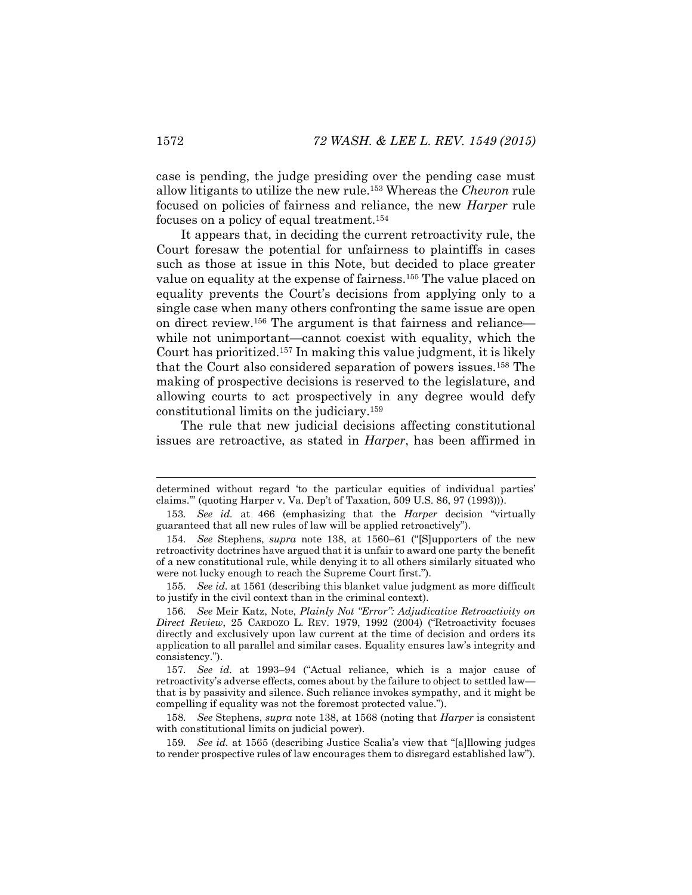case is pending, the judge presiding over the pending case must allow litigants to utilize the new rule.<sup>153</sup> Whereas the *Chevron* rule focused on policies of fairness and reliance, the new *Harper* rule focuses on a policy of equal treatment.<sup>154</sup>

It appears that, in deciding the current retroactivity rule, the Court foresaw the potential for unfairness to plaintiffs in cases such as those at issue in this Note, but decided to place greater value on equality at the expense of fairness.<sup>155</sup> The value placed on equality prevents the Court's decisions from applying only to a single case when many others confronting the same issue are open on direct review.<sup>156</sup> The argument is that fairness and reliance while not unimportant—cannot coexist with equality, which the Court has prioritized.<sup>157</sup> In making this value judgment, it is likely that the Court also considered separation of powers issues.<sup>158</sup> The making of prospective decisions is reserved to the legislature, and allowing courts to act prospectively in any degree would defy constitutional limits on the judiciary.<sup>159</sup>

The rule that new judicial decisions affecting constitutional issues are retroactive, as stated in *Harper*, has been affirmed in

determined without regard 'to the particular equities of individual parties' claims.'" (quoting Harper v. Va. Dep't of Taxation, 509 U.S. 86, 97 (1993))).

<sup>153</sup>*. See id.* at 466 (emphasizing that the *Harper* decision "virtually guaranteed that all new rules of law will be applied retroactively").

<sup>154</sup>*. See* Stephens, *supra* note [138,](#page-22-0) at 1560–61 ("[S]upporters of the new retroactivity doctrines have argued that it is unfair to award one party the benefit of a new constitutional rule, while denying it to all others similarly situated who were not lucky enough to reach the Supreme Court first.").

<sup>155</sup>*. See id.* at 1561 (describing this blanket value judgment as more difficult to justify in the civil context than in the criminal context).

<sup>156</sup>*. See* Meir Katz, Note, *Plainly Not "Error": Adjudicative Retroactivity on Direct Review*, 25 CARDOZO L. REV. 1979, 1992 (2004) ("Retroactivity focuses directly and exclusively upon law current at the time of decision and orders its application to all parallel and similar cases. Equality ensures law's integrity and consistency.").

<sup>157</sup>*. See id.* at 1993–94 ("Actual reliance, which is a major cause of retroactivity's adverse effects, comes about by the failure to object to settled law that is by passivity and silence. Such reliance invokes sympathy, and it might be compelling if equality was not the foremost protected value.").

<sup>158</sup>*. See* Stephens, *supra* note [138,](#page-22-0) at 1568 (noting that *Harper* is consistent with constitutional limits on judicial power).

<sup>159</sup>*. See id.* at 1565 (describing Justice Scalia's view that "[a]llowing judges to render prospective rules of law encourages them to disregard established law").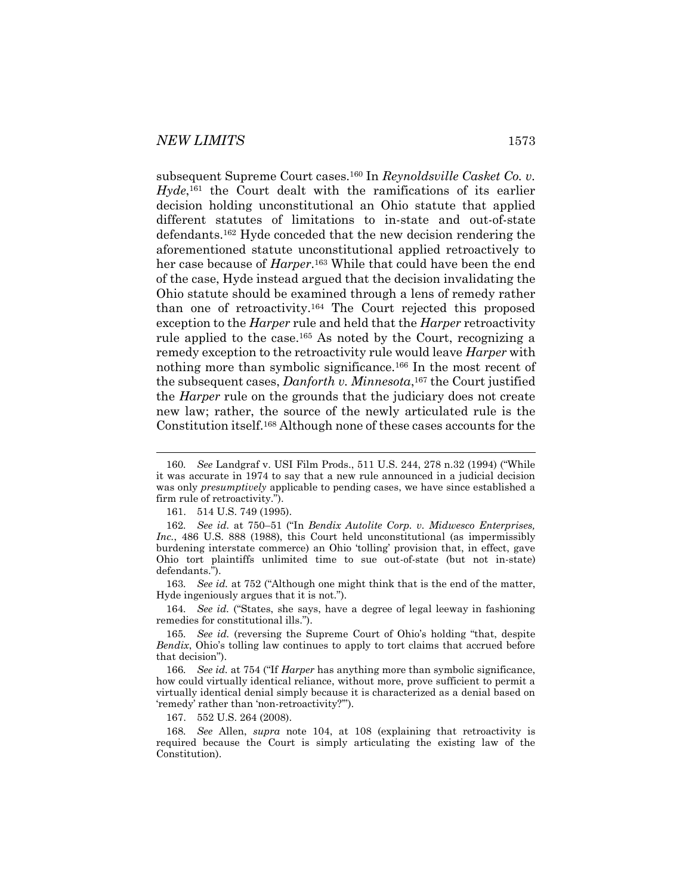subsequent Supreme Court cases.<sup>160</sup> In *Reynoldsville Casket Co. v.*  Hyde,<sup>161</sup> the Court dealt with the ramifications of its earlier decision holding unconstitutional an Ohio statute that applied different statutes of limitations to in-state and out-of-state defendants.<sup>162</sup> Hyde conceded that the new decision rendering the aforementioned statute unconstitutional applied retroactively to her case because of *Harper*. <sup>163</sup> While that could have been the end of the case, Hyde instead argued that the decision invalidating the Ohio statute should be examined through a lens of remedy rather than one of retroactivity.<sup>164</sup> The Court rejected this proposed exception to the *Harper* rule and held that the *Harper* retroactivity rule applied to the case.<sup>165</sup> As noted by the Court, recognizing a remedy exception to the retroactivity rule would leave *Harper* with nothing more than symbolic significance.<sup>166</sup> In the most recent of the subsequent cases, *Danforth v. Minnesota*, <sup>167</sup> the Court justified the *Harper* rule on the grounds that the judiciary does not create new law; rather, the source of the newly articulated rule is the Constitution itself.<sup>168</sup> Although none of these cases accounts for the

163*. See id.* at 752 ("Although one might think that is the end of the matter, Hyde ingeniously argues that it is not.").

164*. See id.* ("States, she says, have a degree of legal leeway in fashioning remedies for constitutional ills.").

167. 552 U.S. 264 (2008).

<sup>160</sup>*. See* Landgraf v. USI Film Prods., 511 U.S. 244, 278 n.32 (1994) ("While it was accurate in 1974 to say that a new rule announced in a judicial decision was only *presumptively* applicable to pending cases, we have since established a firm rule of retroactivity.").

<sup>161.</sup> 514 U.S. 749 (1995).

<sup>162</sup>*. See id.* at 750–51 ("In *Bendix Autolite Corp. v. Midwesco Enterprises, Inc.*, 486 U.S. 888 (1988), this Court held unconstitutional (as impermissibly burdening interstate commerce) an Ohio 'tolling' provision that, in effect, gave Ohio tort plaintiffs unlimited time to sue out-of-state (but not in-state) defendants.").

<sup>165</sup>*. See id.* (reversing the Supreme Court of Ohio's holding "that, despite *Bendix*, Ohio's tolling law continues to apply to tort claims that accrued before that decision").

<sup>166</sup>*. See id.* at 754 ("If *Harper* has anything more than symbolic significance, how could virtually identical reliance, without more, prove sufficient to permit a virtually identical denial simply because it is characterized as a denial based on 'remedy' rather than 'non-retroactivity?'").

<sup>168</sup>*. See* Allen, *supra* note [104,](#page-17-0) at 108 (explaining that retroactivity is required because the Court is simply articulating the existing law of the Constitution).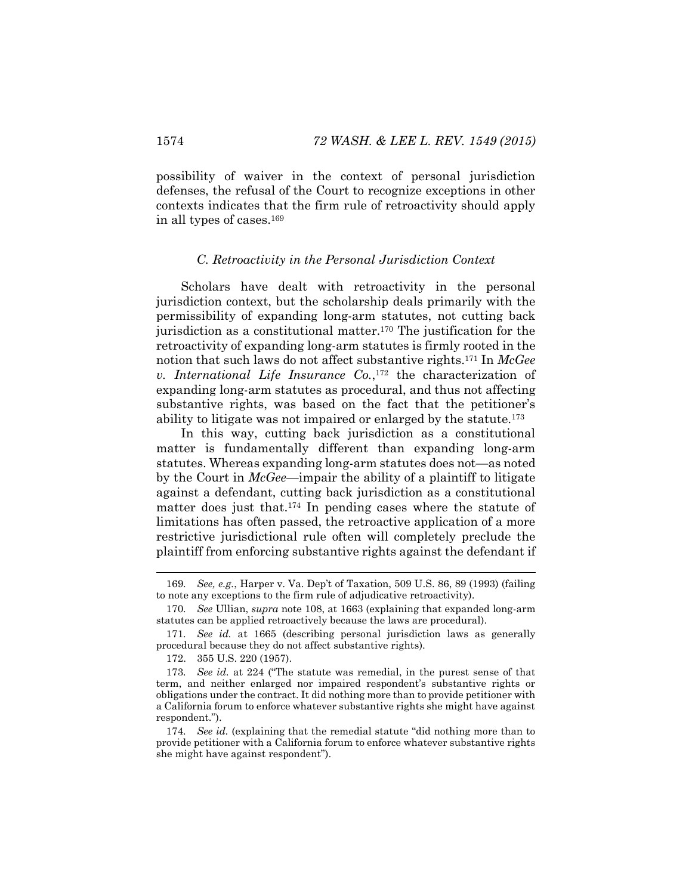possibility of waiver in the context of personal jurisdiction defenses, the refusal of the Court to recognize exceptions in other contexts indicates that the firm rule of retroactivity should apply in all types of cases.<sup>169</sup>

#### *C. Retroactivity in the Personal Jurisdiction Context*

Scholars have dealt with retroactivity in the personal jurisdiction context, but the scholarship deals primarily with the permissibility of expanding long-arm statutes, not cutting back jurisdiction as a constitutional matter.<sup>170</sup> The justification for the retroactivity of expanding long-arm statutes is firmly rooted in the notion that such laws do not affect substantive rights.<sup>171</sup> In *McGee v. International Life Insurance Co.*, <sup>172</sup> the characterization of expanding long-arm statutes as procedural, and thus not affecting substantive rights, was based on the fact that the petitioner's ability to litigate was not impaired or enlarged by the statute.<sup>173</sup>

In this way, cutting back jurisdiction as a constitutional matter is fundamentally different than expanding long-arm statutes. Whereas expanding long-arm statutes does not—as noted by the Court in *McGee*—impair the ability of a plaintiff to litigate against a defendant, cutting back jurisdiction as a constitutional matter does just that.<sup>174</sup> In pending cases where the statute of limitations has often passed, the retroactive application of a more restrictive jurisdictional rule often will completely preclude the plaintiff from enforcing substantive rights against the defendant if

<sup>169</sup>*. See, e.g.*, Harper v. Va. Dep't of Taxation, 509 U.S. 86, 89 (1993) (failing to note any exceptions to the firm rule of adjudicative retroactivity).

<sup>170</sup>*. See* Ullian, *supra* not[e 108,](#page-17-1) at 1663 (explaining that expanded long-arm statutes can be applied retroactively because the laws are procedural).

<sup>171</sup>*. See id.* at 1665 (describing personal jurisdiction laws as generally procedural because they do not affect substantive rights).

<sup>172.</sup> 355 U.S. 220 (1957).

<sup>173</sup>*. See id.* at 224 ("The statute was remedial, in the purest sense of that term, and neither enlarged nor impaired respondent's substantive rights or obligations under the contract. It did nothing more than to provide petitioner with a California forum to enforce whatever substantive rights she might have against respondent.").

<sup>174</sup>*. See id.* (explaining that the remedial statute "did nothing more than to provide petitioner with a California forum to enforce whatever substantive rights she might have against respondent").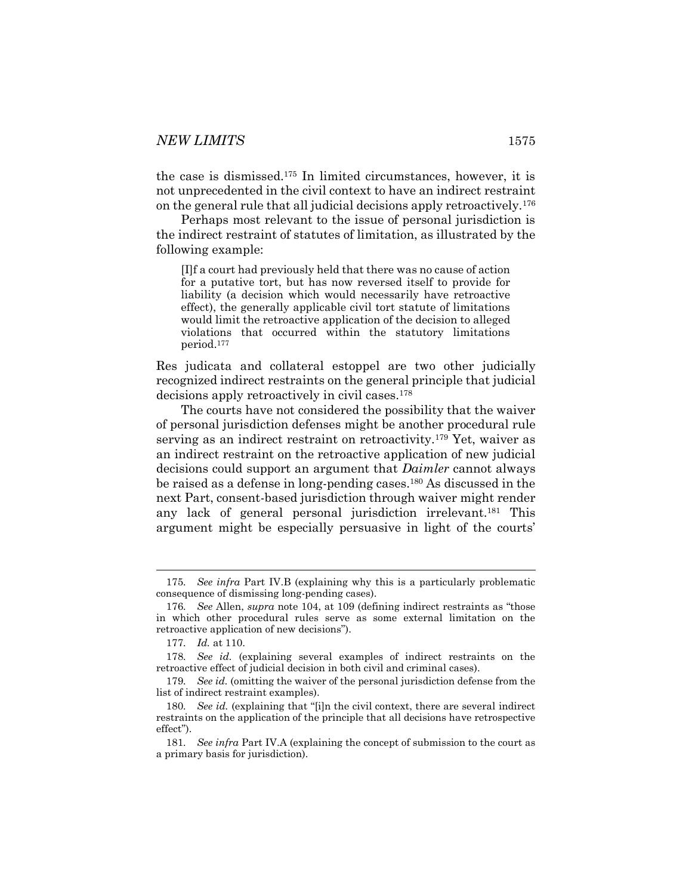the case is dismissed.<sup>175</sup> In limited circumstances, however, it is not unprecedented in the civil context to have an indirect restraint on the general rule that all judicial decisions apply retroactively.<sup>176</sup>

Perhaps most relevant to the issue of personal jurisdiction is the indirect restraint of statutes of limitation, as illustrated by the following example:

[I]f a court had previously held that there was no cause of action for a putative tort, but has now reversed itself to provide for liability (a decision which would necessarily have retroactive effect), the generally applicable civil tort statute of limitations would limit the retroactive application of the decision to alleged violations that occurred within the statutory limitations period.<sup>177</sup>

Res judicata and collateral estoppel are two other judicially recognized indirect restraints on the general principle that judicial decisions apply retroactively in civil cases.<sup>178</sup>

The courts have not considered the possibility that the waiver of personal jurisdiction defenses might be another procedural rule serving as an indirect restraint on retroactivity.<sup>179</sup> Yet, waiver as an indirect restraint on the retroactive application of new judicial decisions could support an argument that *Daimler* cannot always be raised as a defense in long-pending cases.<sup>180</sup> As discussed in the next Part, consent-based jurisdiction through waiver might render any lack of general personal jurisdiction irrelevant.<sup>181</sup> This argument might be especially persuasive in light of the courts'

l

<sup>175</sup>*. See infra* Part IV.B (explaining why this is a particularly problematic consequence of dismissing long-pending cases).

<sup>176</sup>*. See* Allen, *supra* note [104](#page-17-0), at 109 (defining indirect restraints as "those in which other procedural rules serve as some external limitation on the retroactive application of new decisions").

<sup>177</sup>*. Id.* at 110.

<sup>178</sup>*. See id.* (explaining several examples of indirect restraints on the retroactive effect of judicial decision in both civil and criminal cases).

<sup>179</sup>*. See id.* (omitting the waiver of the personal jurisdiction defense from the list of indirect restraint examples).

<sup>180</sup>*. See id.* (explaining that "[i]n the civil context, there are several indirect restraints on the application of the principle that all decisions have retrospective effect").

<sup>181</sup>*. See infra* Part IV.A (explaining the concept of submission to the court as a primary basis for jurisdiction).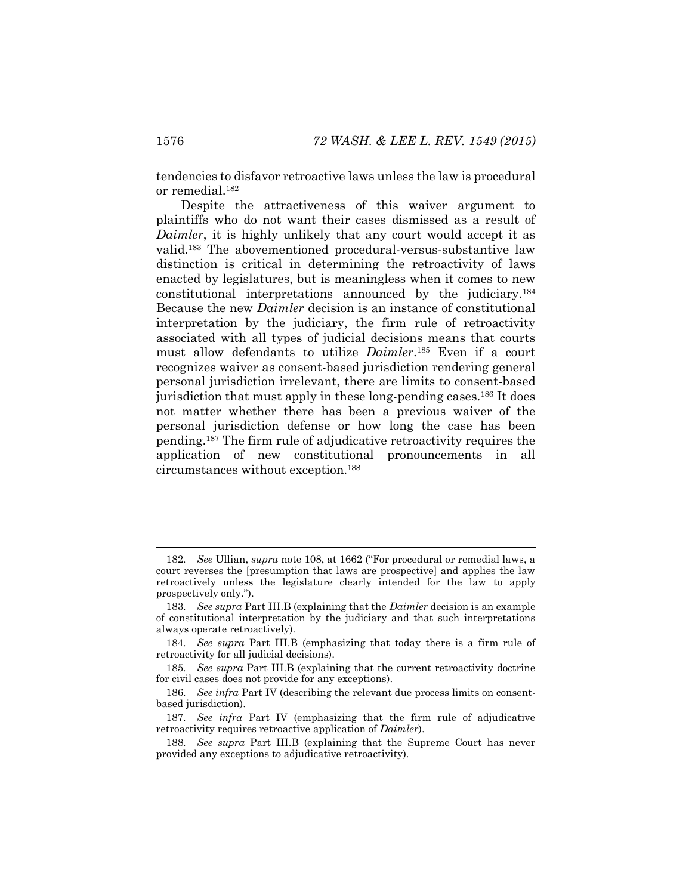tendencies to disfavor retroactive laws unless the law is procedural or remedial.<sup>182</sup>

Despite the attractiveness of this waiver argument to plaintiffs who do not want their cases dismissed as a result of *Daimler*, it is highly unlikely that any court would accept it as valid.<sup>183</sup> The abovementioned procedural-versus-substantive law distinction is critical in determining the retroactivity of laws enacted by legislatures, but is meaningless when it comes to new constitutional interpretations announced by the judiciary.<sup>184</sup> Because the new *Daimler* decision is an instance of constitutional interpretation by the judiciary, the firm rule of retroactivity associated with all types of judicial decisions means that courts must allow defendants to utilize *Daimler*. <sup>185</sup> Even if a court recognizes waiver as consent-based jurisdiction rendering general personal jurisdiction irrelevant, there are limits to consent-based jurisdiction that must apply in these long-pending cases.<sup>186</sup> It does not matter whether there has been a previous waiver of the personal jurisdiction defense or how long the case has been pending.<sup>187</sup> The firm rule of adjudicative retroactivity requires the application of new constitutional pronouncements in all circumstances without exception.<sup>188</sup>

<sup>182</sup>*. See* Ullian, *supra* note [108](#page-17-1), at 1662 ("For procedural or remedial laws, a court reverses the [presumption that laws are prospective] and applies the law retroactively unless the legislature clearly intended for the law to apply prospectively only.").

<sup>183</sup>*. See supra* Part III.B (explaining that the *Daimler* decision is an example of constitutional interpretation by the judiciary and that such interpretations always operate retroactively).

<sup>184</sup>*. See supra* Part III.B (emphasizing that today there is a firm rule of retroactivity for all judicial decisions).

<sup>185</sup>*. See supra* Part III.B (explaining that the current retroactivity doctrine for civil cases does not provide for any exceptions).

<sup>186</sup>*. See infra* Part IV (describing the relevant due process limits on consentbased jurisdiction).

<sup>187</sup>*. See infra* Part IV (emphasizing that the firm rule of adjudicative retroactivity requires retroactive application of *Daimler*).

<sup>188</sup>*. See supra* Part III.B (explaining that the Supreme Court has never provided any exceptions to adjudicative retroactivity).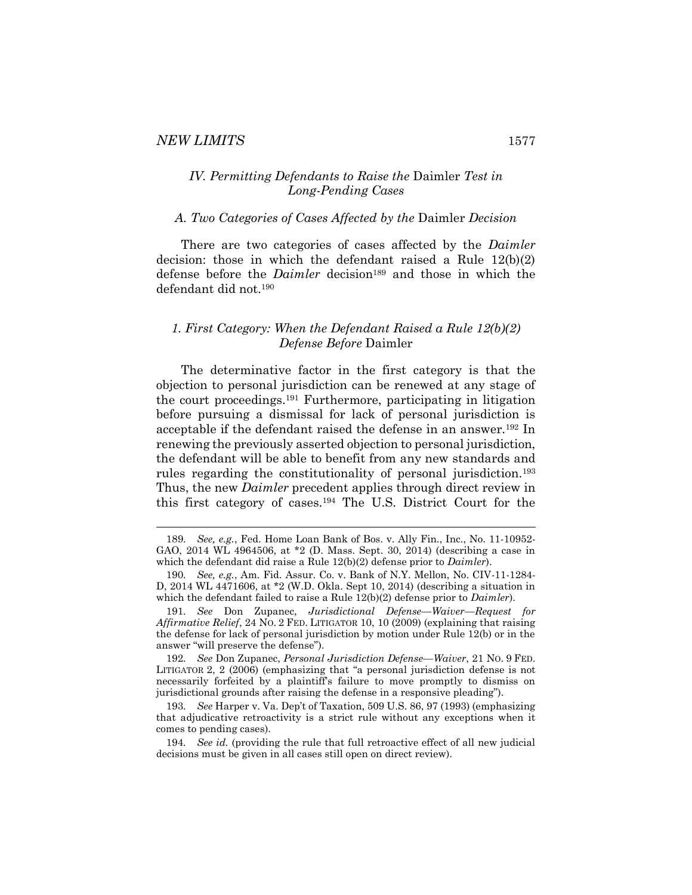### *IV. Permitting Defendants to Raise the* Daimler *Test in Long-Pending Cases*

#### *A. Two Categories of Cases Affected by the* Daimler *Decision*

There are two categories of cases affected by the *Daimler* decision: those in which the defendant raised a Rule 12(b)(2) defense before the *Daimler* decision<sup>189</sup> and those in which the defendant did not.<sup>190</sup>

# *1. First Category: When the Defendant Raised a Rule 12(b)(2) Defense Before* Daimler

The determinative factor in the first category is that the objection to personal jurisdiction can be renewed at any stage of the court proceedings.<sup>191</sup> Furthermore, participating in litigation before pursuing a dismissal for lack of personal jurisdiction is acceptable if the defendant raised the defense in an answer.<sup>192</sup> In renewing the previously asserted objection to personal jurisdiction, the defendant will be able to benefit from any new standards and rules regarding the constitutionality of personal jurisdiction.<sup>193</sup> Thus, the new *Daimler* precedent applies through direct review in this first category of cases.<sup>194</sup> The U.S. District Court for the

<sup>189</sup>*. See, e.g.*, Fed. Home Loan Bank of Bos. v. Ally Fin., Inc., No. 11-10952- GAO, 2014 WL 4964506, at \*2 (D. Mass. Sept. 30, 2014) (describing a case in which the defendant did raise a Rule 12(b)(2) defense prior to *Daimler*).

<sup>190</sup>*. See, e.g.*, Am. Fid. Assur. Co. v. Bank of N.Y. Mellon, No. CIV-11-1284- D, 2014 WL 4471606, at \*2 (W.D. Okla. Sept 10, 2014) (describing a situation in which the defendant failed to raise a Rule 12(b)(2) defense prior to *Daimler*).

<sup>191</sup>*. See* Don Zupanec, *Jurisdictional Defense—Waiver—Request for Affirmative Relief*, 24 NO. 2 FED. LITIGATOR 10, 10 (2009) (explaining that raising the defense for lack of personal jurisdiction by motion under Rule 12(b) or in the answer "will preserve the defense").

<sup>192</sup>*. See* Don Zupanec, *Personal Jurisdiction Defense—Waiver*, 21 NO. 9 FED. LITIGATOR 2, 2 (2006) (emphasizing that "a personal jurisdiction defense is not necessarily forfeited by a plaintiff's failure to move promptly to dismiss on jurisdictional grounds after raising the defense in a responsive pleading").

<sup>193</sup>*. See* Harper v. Va. Dep't of Taxation, 509 U.S. 86, 97 (1993) (emphasizing that adjudicative retroactivity is a strict rule without any exceptions when it comes to pending cases).

<sup>194</sup>*. See id.* (providing the rule that full retroactive effect of all new judicial decisions must be given in all cases still open on direct review).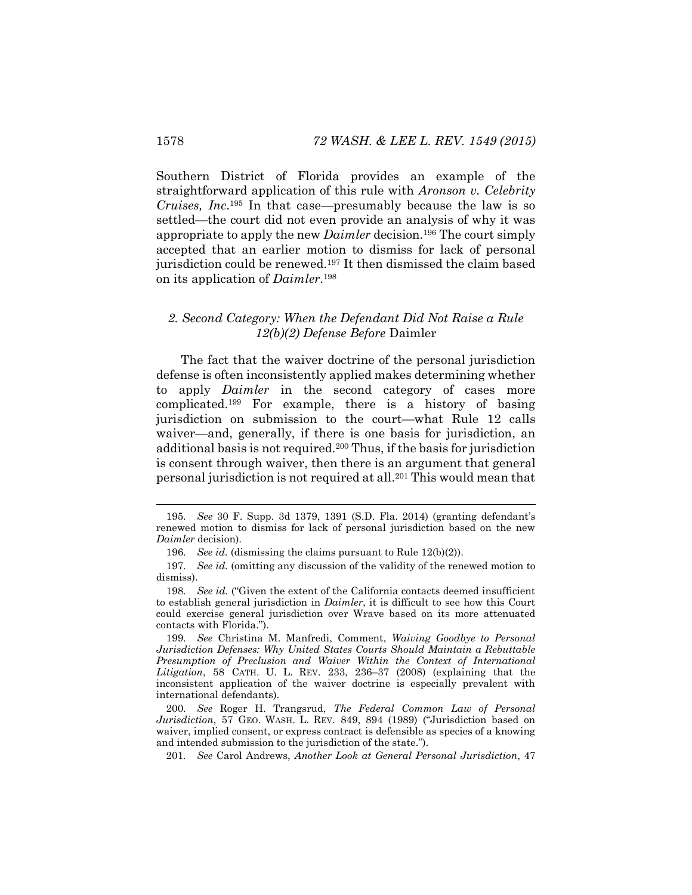Southern District of Florida provides an example of the straightforward application of this rule with *Aronson v. Celebrity Cruises, Inc*. <sup>195</sup> In that case—presumably because the law is so settled—the court did not even provide an analysis of why it was appropriate to apply the new *Daimler* decision.<sup>196</sup> The court simply accepted that an earlier motion to dismiss for lack of personal jurisdiction could be renewed.<sup>197</sup> It then dismissed the claim based on its application of *Daimler*. 198

### *2. Second Category: When the Defendant Did Not Raise a Rule 12(b)(2) Defense Before* Daimler

The fact that the waiver doctrine of the personal jurisdiction defense is often inconsistently applied makes determining whether to apply *Daimler* in the second category of cases more complicated.<sup>199</sup> For example, there is a history of basing jurisdiction on submission to the court—what Rule 12 calls waiver—and, generally, if there is one basis for jurisdiction, an additional basis is not required.<sup>200</sup> Thus, if the basis for jurisdiction is consent through waiver, then there is an argument that general personal jurisdiction is not required at all.<sup>201</sup> This would mean that

<sup>195</sup>*. See* 30 F. Supp. 3d 1379, 1391 (S.D. Fla. 2014) (granting defendant's renewed motion to dismiss for lack of personal jurisdiction based on the new *Daimler* decision).

<sup>196</sup>*. See id.* (dismissing the claims pursuant to Rule 12(b)(2)).

<sup>197</sup>*. See id.* (omitting any discussion of the validity of the renewed motion to dismiss).

<sup>198</sup>*. See id.* ("Given the extent of the California contacts deemed insufficient to establish general jurisdiction in *Daimler*, it is difficult to see how this Court could exercise general jurisdiction over Wrave based on its more attenuated contacts with Florida.").

<sup>199</sup>*. See* Christina M. Manfredi, Comment, *Waiving Goodbye to Personal Jurisdiction Defenses: Why United States Courts Should Maintain a Rebuttable Presumption of Preclusion and Waiver Within the Context of International Litigation*, 58 CATH. U. L. REV. 233, 236–37 (2008) (explaining that the inconsistent application of the waiver doctrine is especially prevalent with international defendants).

<sup>200</sup>*. See* Roger H. Trangsrud, *The Federal Common Law of Personal Jurisdiction*, 57 GEO. WASH. L. REV. 849, 894 (1989) ("Jurisdiction based on waiver, implied consent, or express contract is defensible as species of a knowing and intended submission to the jurisdiction of the state.").

<sup>201</sup>*. See* Carol Andrews, *Another Look at General Personal Jurisdiction*, 47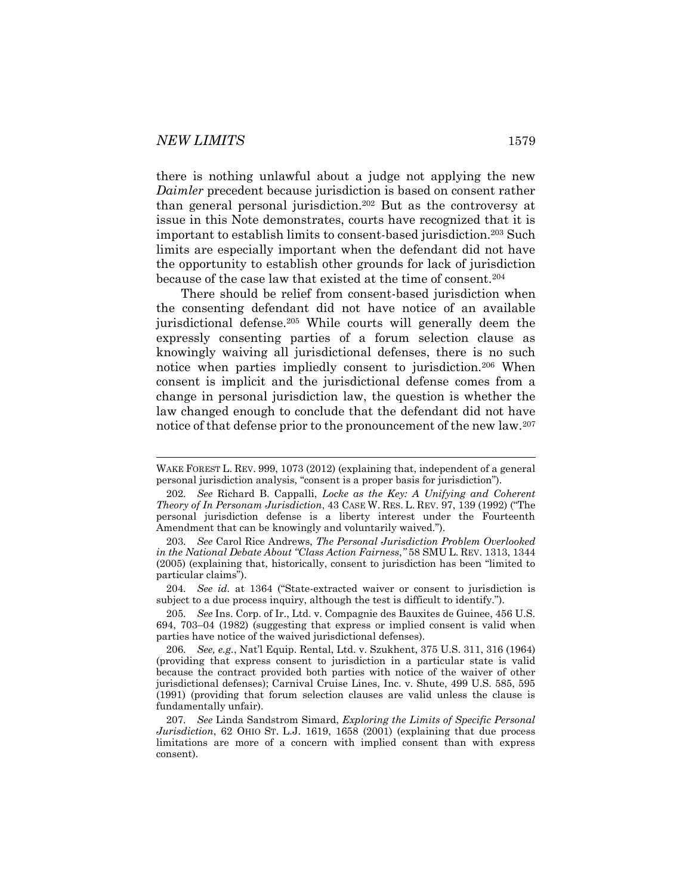there is nothing unlawful about a judge not applying the new *Daimler* precedent because jurisdiction is based on consent rather than general personal jurisdiction.<sup>202</sup> But as the controversy at issue in this Note demonstrates, courts have recognized that it is important to establish limits to consent-based jurisdiction.<sup>203</sup> Such limits are especially important when the defendant did not have the opportunity to establish other grounds for lack of jurisdiction because of the case law that existed at the time of consent.<sup>204</sup>

There should be relief from consent-based jurisdiction when the consenting defendant did not have notice of an available jurisdictional defense.<sup>205</sup> While courts will generally deem the expressly consenting parties of a forum selection clause as knowingly waiving all jurisdictional defenses, there is no such notice when parties impliedly consent to jurisdiction.<sup>206</sup> When consent is implicit and the jurisdictional defense comes from a change in personal jurisdiction law, the question is whether the law changed enough to conclude that the defendant did not have notice of that defense prior to the pronouncement of the new law.<sup>207</sup>

204*. See id.* at 1364 ("State-extracted waiver or consent to jurisdiction is subject to a due process inquiry, although the test is difficult to identify.").

205*. See* Ins. Corp. of Ir., Ltd. v. Compagnie des Bauxites de Guinee, 456 U.S. 694, 703–04 (1982) (suggesting that express or implied consent is valid when parties have notice of the waived jurisdictional defenses).

WAKE FOREST L. REV. 999, 1073 (2012) (explaining that, independent of a general personal jurisdiction analysis, "consent is a proper basis for jurisdiction").

<sup>202</sup>*. See* Richard B. Cappalli, *Locke as the Key: A Unifying and Coherent Theory of In Personam Jurisdiction*, 43 CASE W. RES. L. REV. 97, 139 (1992) ("The personal jurisdiction defense is a liberty interest under the Fourteenth Amendment that can be knowingly and voluntarily waived.").

<sup>203</sup>*. See* Carol Rice Andrews, *The Personal Jurisdiction Problem Overlooked in the National Debate About "Class Action Fairness*,*"* 58 SMU L. REV. 1313, 1344 (2005) (explaining that, historically, consent to jurisdiction has been "limited to particular claims").

<sup>206</sup>*. See, e.g.*, Nat'l Equip. Rental, Ltd. v. Szukhent, 375 U.S. 311, 316 (1964) (providing that express consent to jurisdiction in a particular state is valid because the contract provided both parties with notice of the waiver of other jurisdictional defenses); Carnival Cruise Lines, Inc. v. Shute, 499 U.S. 585, 595 (1991) (providing that forum selection clauses are valid unless the clause is fundamentally unfair).

<sup>207</sup>*. See* Linda Sandstrom Simard, *Exploring the Limits of Specific Personal Jurisdiction*, 62 OHIO ST. L.J. 1619, 1658 (2001) (explaining that due process limitations are more of a concern with implied consent than with express consent).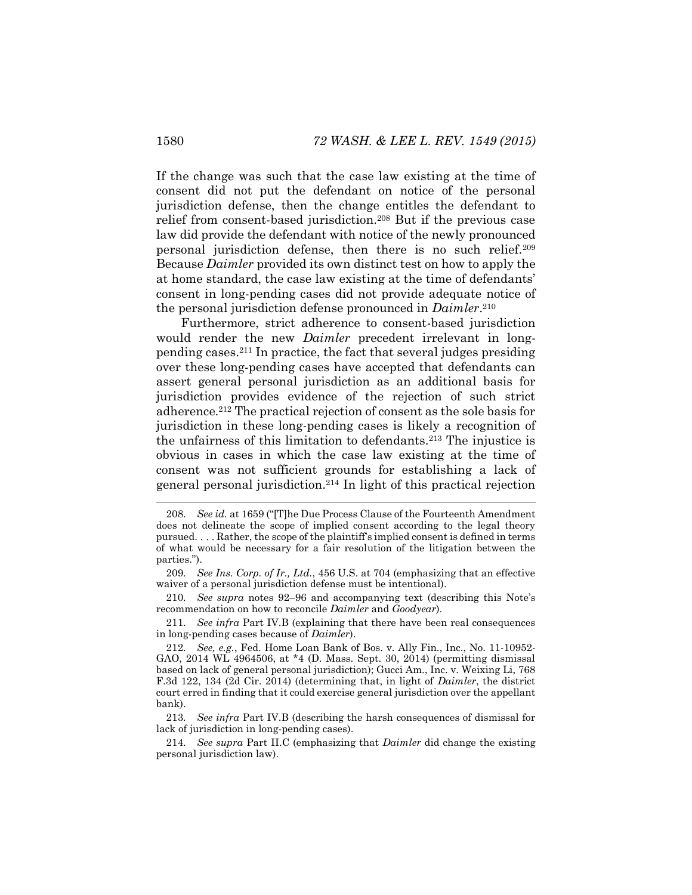If the change was such that the case law existing at the time of consent did not put the defendant on notice of the personal jurisdiction defense, then the change entitles the defendant to relief from consent-based jurisdiction.<sup>208</sup> But if the previous case law did provide the defendant with notice of the newly pronounced personal jurisdiction defense, then there is no such relief.<sup>209</sup> Because *Daimler* provided its own distinct test on how to apply the at home standard, the case law existing at the time of defendants' consent in long-pending cases did not provide adequate notice of the personal jurisdiction defense pronounced in *Daimler*. 210

Furthermore, strict adherence to consent-based jurisdiction would render the new *Daimler* precedent irrelevant in longpending cases.<sup>211</sup> In practice, the fact that several judges presiding over these long-pending cases have accepted that defendants can assert general personal jurisdiction as an additional basis for jurisdiction provides evidence of the rejection of such strict adherence.<sup>212</sup> The practical rejection of consent as the sole basis for jurisdiction in these long-pending cases is likely a recognition of the unfairness of this limitation to defendants.<sup>213</sup> The injustice is obvious in cases in which the case law existing at the time of consent was not sufficient grounds for establishing a lack of general personal jurisdiction.<sup>214</sup> In light of this practical rejection

210*. See supra* notes [92](#page-15-0)–[96](#page-16-0) and accompanying text (describing this Note's recommendation on how to reconcile *Daimler* and *Goodyear*).

211*. See infra* Part IV.B (explaining that there have been real consequences in long-pending cases because of *Daimler*).

213*. See infra* Part IV.B (describing the harsh consequences of dismissal for lack of jurisdiction in long-pending cases).

214*. See supra* Part II.C (emphasizing that *Daimler* did change the existing personal jurisdiction law).

l

<sup>208</sup>*. See id.* at 1659 ("[T]he Due Process Clause of the Fourteenth Amendment does not delineate the scope of implied consent according to the legal theory pursued. . . . Rather, the scope of the plaintiff's implied consent is defined in terms of what would be necessary for a fair resolution of the litigation between the parties.").

<sup>209</sup>*. See Ins. Corp. of Ir., Ltd.*, 456 U.S. at 704 (emphasizing that an effective waiver of a personal jurisdiction defense must be intentional).

<sup>212</sup>*. See, e.g.*, Fed. Home Loan Bank of Bos. v. Ally Fin., Inc., No. 11-10952- GAO, 2014 WL 4964506, at \*4 (D. Mass. Sept. 30, 2014) (permitting dismissal based on lack of general personal jurisdiction); Gucci Am., Inc. v. Weixing Li, 768 F.3d 122, 134 (2d Cir. 2014) (determining that, in light of *Daimler*, the district court erred in finding that it could exercise general jurisdiction over the appellant bank).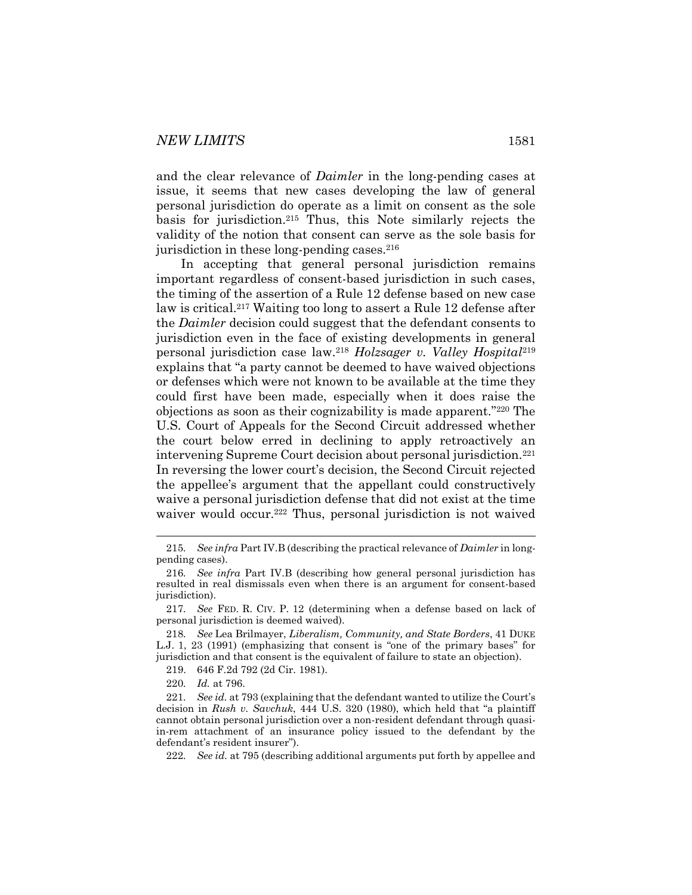and the clear relevance of *Daimler* in the long-pending cases at issue, it seems that new cases developing the law of general personal jurisdiction do operate as a limit on consent as the sole basis for jurisdiction.<sup>215</sup> Thus, this Note similarly rejects the validity of the notion that consent can serve as the sole basis for jurisdiction in these long-pending cases. $216$ 

In accepting that general personal jurisdiction remains important regardless of consent-based jurisdiction in such cases, the timing of the assertion of a Rule 12 defense based on new case law is critical.<sup>217</sup> Waiting too long to assert a Rule 12 defense after the *Daimler* decision could suggest that the defendant consents to jurisdiction even in the face of existing developments in general personal jurisdiction case law.<sup>218</sup> *Holzsager v. Valley Hospital*<sup>219</sup> explains that "a party cannot be deemed to have waived objections or defenses which were not known to be available at the time they could first have been made, especially when it does raise the objections as soon as their cognizability is made apparent."<sup>220</sup> The U.S. Court of Appeals for the Second Circuit addressed whether the court below erred in declining to apply retroactively an intervening Supreme Court decision about personal jurisdiction.<sup>221</sup> In reversing the lower court's decision, the Second Circuit rejected the appellee's argument that the appellant could constructively waive a personal jurisdiction defense that did not exist at the time waiver would occur.<sup>222</sup> Thus, personal jurisdiction is not waived

l

222*. See id.* at 795 (describing additional arguments put forth by appellee and

<sup>215</sup>*. See infra* Part IV.B (describing the practical relevance of *Daimler* in longpending cases).

<sup>216</sup>*. See infra* Part IV.B (describing how general personal jurisdiction has resulted in real dismissals even when there is an argument for consent-based jurisdiction).

<sup>217</sup>*. See* FED. R. CIV. P. 12 (determining when a defense based on lack of personal jurisdiction is deemed waived).

<sup>218</sup>*. See* Lea Brilmayer, *Liberalism, Community, and State Borders*, 41 DUKE L.J. 1, 23 (1991) (emphasizing that consent is "one of the primary bases" for jurisdiction and that consent is the equivalent of failure to state an objection).

<sup>219.</sup> 646 F.2d 792 (2d Cir. 1981).

<sup>220</sup>*. Id.* at 796.

<sup>221</sup>*. See id.* at 793 (explaining that the defendant wanted to utilize the Court's decision in *Rush v. Savchuk*, 444 U.S. 320 (1980), which held that "a plaintiff cannot obtain personal jurisdiction over a non-resident defendant through quasiin-rem attachment of an insurance policy issued to the defendant by the defendant's resident insurer").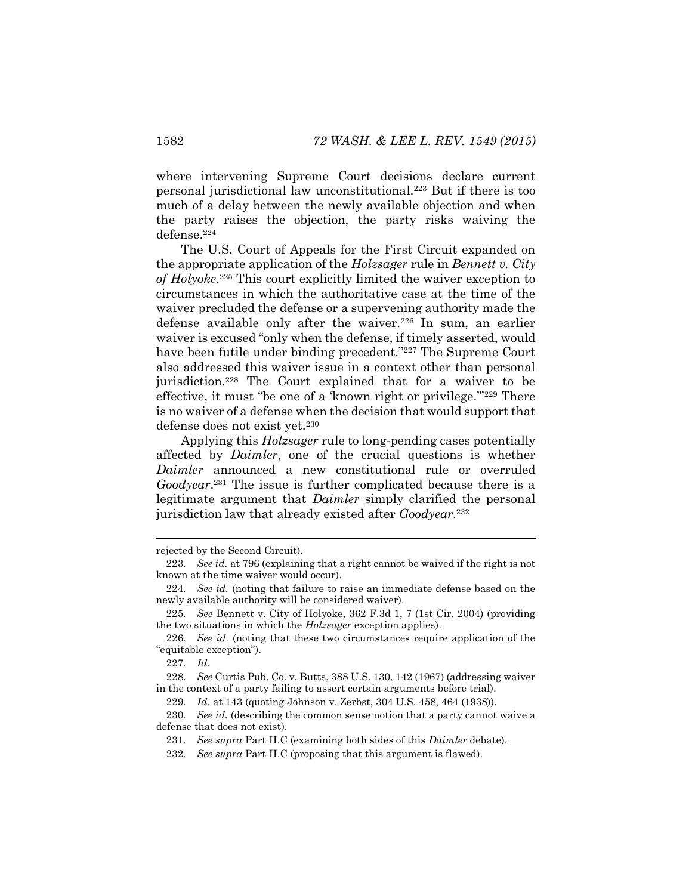where intervening Supreme Court decisions declare current personal jurisdictional law unconstitutional.<sup>223</sup> But if there is too much of a delay between the newly available objection and when the party raises the objection, the party risks waiving the defense.<sup>224</sup>

The U.S. Court of Appeals for the First Circuit expanded on the appropriate application of the *Holzsager* rule in *Bennett v. City of Holyoke*. <sup>225</sup> This court explicitly limited the waiver exception to circumstances in which the authoritative case at the time of the waiver precluded the defense or a supervening authority made the defense available only after the waiver.<sup>226</sup> In sum, an earlier waiver is excused "only when the defense, if timely asserted, would have been futile under binding precedent."<sup>227</sup> The Supreme Court also addressed this waiver issue in a context other than personal jurisdiction.<sup>228</sup> The Court explained that for a waiver to be effective, it must "be one of a 'known right or privilege.'"<sup>229</sup> There is no waiver of a defense when the decision that would support that defense does not exist yet.<sup>230</sup>

Applying this *Holzsager* rule to long-pending cases potentially affected by *Daimler*, one of the crucial questions is whether *Daimler* announced a new constitutional rule or overruled *Goodyear*. <sup>231</sup> The issue is further complicated because there is a legitimate argument that *Daimler* simply clarified the personal jurisdiction law that already existed after *Goodyear*. 232

227*. Id.*

rejected by the Second Circuit).

<sup>223</sup>*. See id.* at 796 (explaining that a right cannot be waived if the right is not known at the time waiver would occur).

<sup>224</sup>*. See id.* (noting that failure to raise an immediate defense based on the newly available authority will be considered waiver).

<sup>225</sup>*. See* Bennett v. City of Holyoke, 362 F.3d 1, 7 (1st Cir. 2004) (providing the two situations in which the *Holzsager* exception applies).

<sup>226</sup>*. See id.* (noting that these two circumstances require application of the "equitable exception").

<sup>228</sup>*. See* Curtis Pub. Co. v. Butts, 388 U.S. 130, 142 (1967) (addressing waiver in the context of a party failing to assert certain arguments before trial).

<sup>229</sup>*. Id.* at 143 (quoting Johnson v. Zerbst, 304 U.S. 458, 464 (1938)).

<sup>230</sup>*. See id.* (describing the common sense notion that a party cannot waive a defense that does not exist).

<sup>231</sup>*. See supra* Part II.C (examining both sides of this *Daimler* debate).

<sup>232</sup>*. See supra* Part II.C (proposing that this argument is flawed).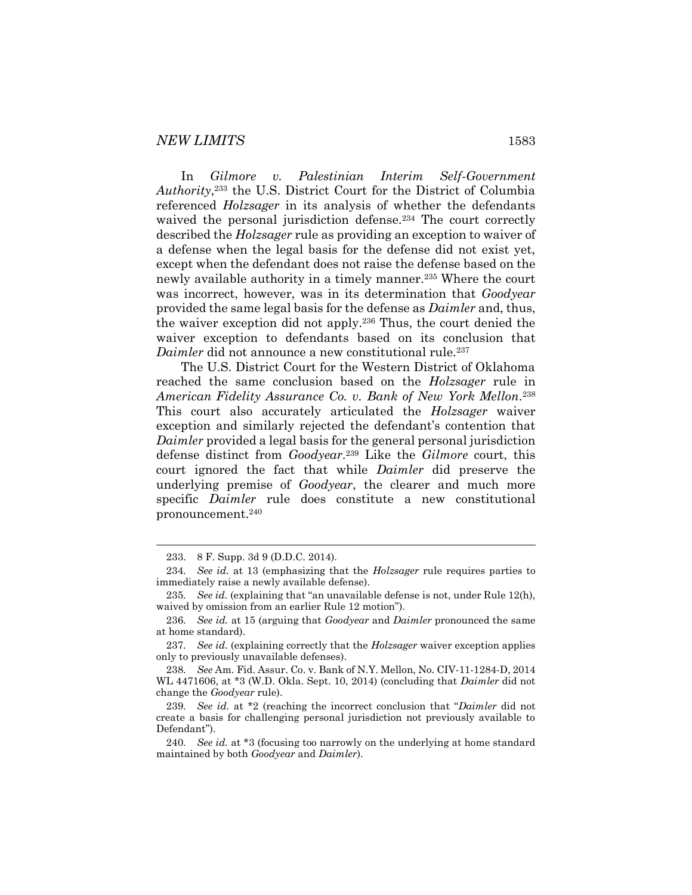#### *NEW LIMITS* 1583

In *Gilmore v. Palestinian Interim Self-Government Authority*, <sup>233</sup> the U.S. District Court for the District of Columbia referenced *Holzsager* in its analysis of whether the defendants waived the personal jurisdiction defense.<sup>234</sup> The court correctly described the *Holzsager* rule as providing an exception to waiver of a defense when the legal basis for the defense did not exist yet, except when the defendant does not raise the defense based on the newly available authority in a timely manner.<sup>235</sup> Where the court was incorrect, however, was in its determination that *Goodyear* provided the same legal basis for the defense as *Daimler* and, thus, the waiver exception did not apply.<sup>236</sup> Thus, the court denied the waiver exception to defendants based on its conclusion that *Daimler* did not announce a new constitutional rule.<sup>237</sup>

The U.S. District Court for the Western District of Oklahoma reached the same conclusion based on the *Holzsager* rule in *American Fidelity Assurance Co. v. Bank of New York Mellon*. 238 This court also accurately articulated the *Holzsager* waiver exception and similarly rejected the defendant's contention that *Daimler* provided a legal basis for the general personal jurisdiction defense distinct from *Goodyear*. <sup>239</sup> Like the *Gilmore* court, this court ignored the fact that while *Daimler* did preserve the underlying premise of *Goodyear*, the clearer and much more specific *Daimler* rule does constitute a new constitutional pronouncement.<sup>240</sup>

<sup>233.</sup> 8 F. Supp. 3d 9 (D.D.C. 2014).

<sup>234</sup>*. See id.* at 13 (emphasizing that the *Holzsager* rule requires parties to immediately raise a newly available defense).

<sup>235</sup>*. See id.* (explaining that "an unavailable defense is not, under Rule 12(h), waived by omission from an earlier Rule 12 motion").

<sup>236</sup>*. See id.* at 15 (arguing that *Goodyear* and *Daimler* pronounced the same at home standard).

<sup>237</sup>*. See id.* (explaining correctly that the *Holzsager* waiver exception applies only to previously unavailable defenses).

<sup>238</sup>*. See* Am. Fid. Assur. Co. v. Bank of N.Y. Mellon, No. CIV-11-1284-D, 2014 WL 4471606, at \*3 (W.D. Okla. Sept. 10, 2014) (concluding that *Daimler* did not change the *Goodyear* rule).

<sup>239</sup>*. See id.* at \*2 (reaching the incorrect conclusion that "*Daimler* did not create a basis for challenging personal jurisdiction not previously available to Defendant").

<sup>240</sup>*. See id.* at \*3 (focusing too narrowly on the underlying at home standard maintained by both *Goodyear* and *Daimler*).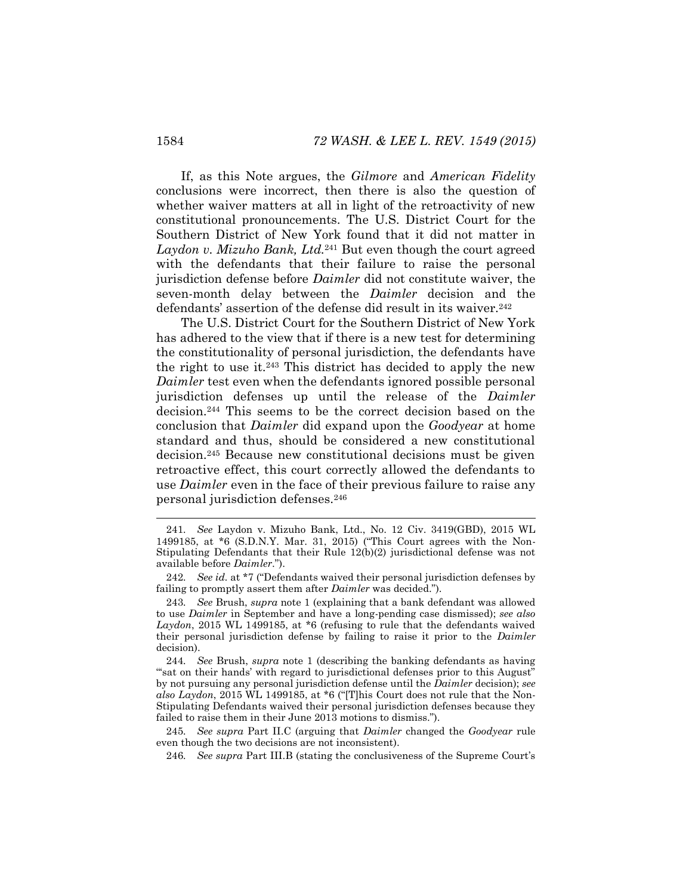If, as this Note argues, the *Gilmore* and *American Fidelity*  conclusions were incorrect, then there is also the question of whether waiver matters at all in light of the retroactivity of new constitutional pronouncements. The U.S. District Court for the Southern District of New York found that it did not matter in *Laydon v. Mizuho Bank, Ltd.*<sup>241</sup> But even though the court agreed with the defendants that their failure to raise the personal jurisdiction defense before *Daimler* did not constitute waiver, the seven-month delay between the *Daimler* decision and the defendants' assertion of the defense did result in its waiver.<sup>242</sup>

The U.S. District Court for the Southern District of New York has adhered to the view that if there is a new test for determining the constitutionality of personal jurisdiction, the defendants have the right to use it.<sup>243</sup> This district has decided to apply the new *Daimler* test even when the defendants ignored possible personal jurisdiction defenses up until the release of the *Daimler* decision.<sup>244</sup> This seems to be the correct decision based on the conclusion that *Daimler* did expand upon the *Goodyear* at home standard and thus, should be considered a new constitutional decision.<sup>245</sup> Because new constitutional decisions must be given retroactive effect, this court correctly allowed the defendants to use *Daimler* even in the face of their previous failure to raise any personal jurisdiction defenses.<sup>246</sup>

244*. See* Brush, *supra* note [1](#page-2-0) (describing the banking defendants as having "sat on their hands' with regard to jurisdictional defenses prior to this August" by not pursuing any personal jurisdiction defense until the *Daimler* decision); *see also Laydon*, 2015 WL 1499185, at \*6 ("[T]his Court does not rule that the Non-Stipulating Defendants waived their personal jurisdiction defenses because they failed to raise them in their June 2013 motions to dismiss.").

245*. See supra* Part II.C (arguing that *Daimler* changed the *Goodyear* rule even though the two decisions are not inconsistent).

246*. See supra* Part III.B (stating the conclusiveness of the Supreme Court's

<sup>241</sup>*. See* Laydon v. Mizuho Bank, Ltd., No. 12 Civ. 3419(GBD), 2015 WL 1499185, at \*6 (S.D.N.Y. Mar. 31, 2015) ("This Court agrees with the Non-Stipulating Defendants that their Rule 12(b)(2) jurisdictional defense was not available before *Daimler*.").

<sup>242</sup>*. See id.* at \*7 ("Defendants waived their personal jurisdiction defenses by failing to promptly assert them after *Daimler* was decided.").

<sup>243</sup>*. See* Brush, *supra* note [1](#page-2-0) (explaining that a bank defendant was allowed to use *Daimler* in September and have a long-pending case dismissed); *see also Laydon*, 2015 WL 1499185, at \*6 (refusing to rule that the defendants waived their personal jurisdiction defense by failing to raise it prior to the *Daimler* decision).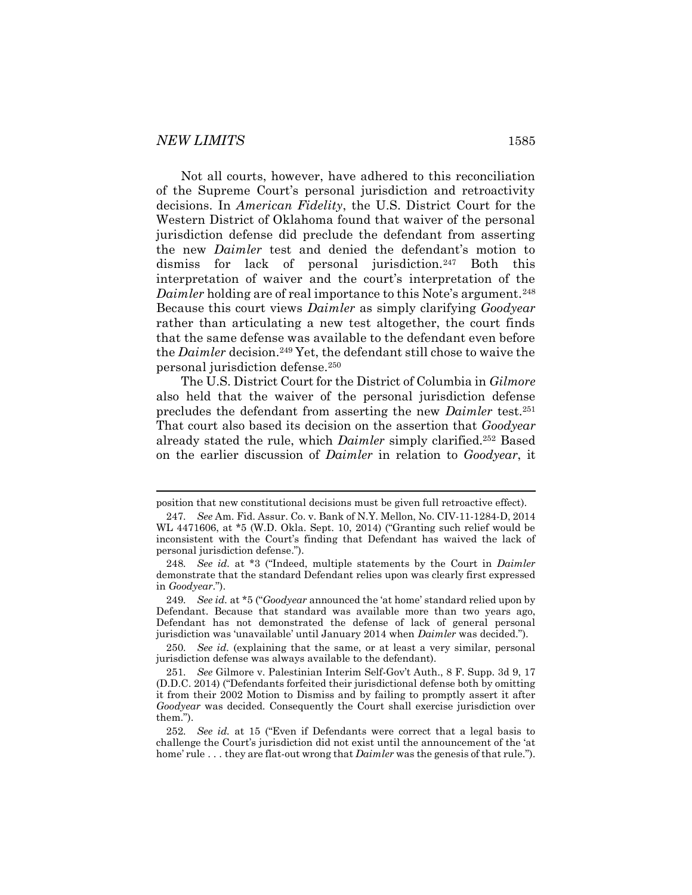Not all courts, however, have adhered to this reconciliation of the Supreme Court's personal jurisdiction and retroactivity decisions. In *American Fidelity*, the U.S. District Court for the Western District of Oklahoma found that waiver of the personal jurisdiction defense did preclude the defendant from asserting the new *Daimler* test and denied the defendant's motion to dismiss for lack of personal jurisdiction.<sup>247</sup> Both this interpretation of waiver and the court's interpretation of the *Daimler* holding are of real importance to this Note's argument.<sup>248</sup> Because this court views *Daimler* as simply clarifying *Goodyear* rather than articulating a new test altogether, the court finds that the same defense was available to the defendant even before the *Daimler* decision.<sup>249</sup> Yet, the defendant still chose to waive the personal jurisdiction defense.<sup>250</sup>

The U.S. District Court for the District of Columbia in *Gilmore*  also held that the waiver of the personal jurisdiction defense precludes the defendant from asserting the new *Daimler* test.<sup>251</sup> That court also based its decision on the assertion that *Goodyear* already stated the rule, which *Daimler* simply clarified.<sup>252</sup> Based on the earlier discussion of *Daimler* in relation to *Goodyear*, it

position that new constitutional decisions must be given full retroactive effect).

<sup>247</sup>*. See* Am. Fid. Assur. Co. v. Bank of N.Y. Mellon, No. CIV-11-1284-D, 2014 WL 4471606, at \*5 (W.D. Okla. Sept. 10, 2014) ("Granting such relief would be inconsistent with the Court's finding that Defendant has waived the lack of personal jurisdiction defense.").

<sup>248</sup>*. See id.* at \*3 ("Indeed, multiple statements by the Court in *Daimler* demonstrate that the standard Defendant relies upon was clearly first expressed in *Goodyear*.").

<sup>249</sup>*. See id.* at \*5 ("*Goodyear* announced the 'at home' standard relied upon by Defendant. Because that standard was available more than two years ago, Defendant has not demonstrated the defense of lack of general personal jurisdiction was 'unavailable' until January 2014 when *Daimler* was decided.").

<sup>250</sup>*. See id.* (explaining that the same, or at least a very similar, personal jurisdiction defense was always available to the defendant).

<sup>251</sup>*. See* Gilmore v. Palestinian Interim Self-Gov't Auth., 8 F. Supp. 3d 9, 17 (D.D.C. 2014) ("Defendants forfeited their jurisdictional defense both by omitting it from their 2002 Motion to Dismiss and by failing to promptly assert it after *Goodyear* was decided. Consequently the Court shall exercise jurisdiction over them.").

<sup>252</sup>*. See id.* at 15 ("Even if Defendants were correct that a legal basis to challenge the Court's jurisdiction did not exist until the announcement of the 'at home' rule . . . they are flat-out wrong that *Daimler* was the genesis of that rule.").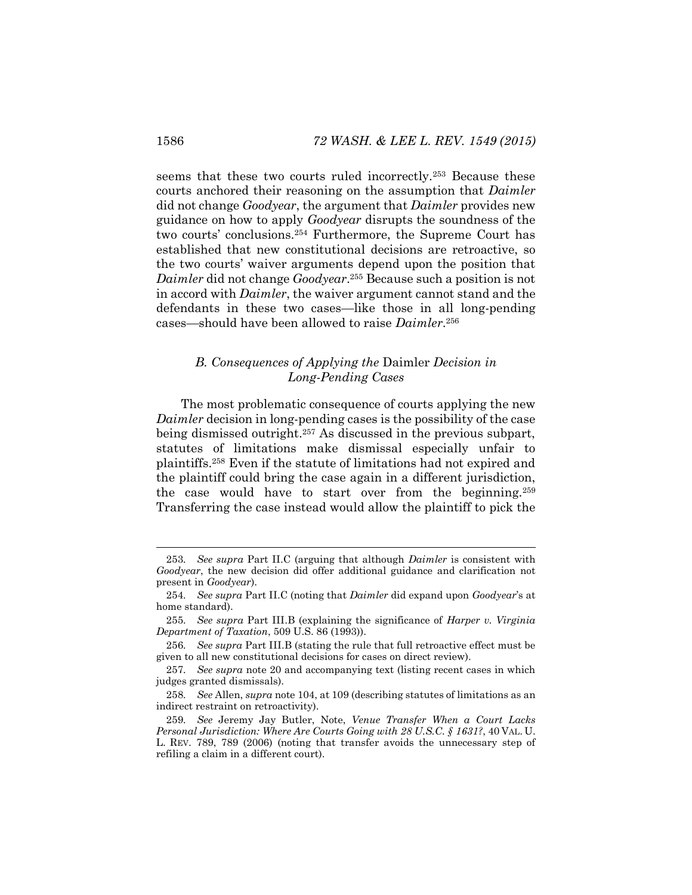seems that these two courts ruled incorrectly.<sup>253</sup> Because these courts anchored their reasoning on the assumption that *Daimler* did not change *Goodyear*, the argument that *Daimler* provides new guidance on how to apply *Goodyear* disrupts the soundness of the two courts' conclusions.<sup>254</sup> Furthermore, the Supreme Court has established that new constitutional decisions are retroactive, so the two courts' waiver arguments depend upon the position that *Daimler* did not change *Goodyear*. <sup>255</sup> Because such a position is not in accord with *Daimler*, the waiver argument cannot stand and the defendants in these two cases—like those in all long-pending cases—should have been allowed to raise *Daimler*. 256

# *B. Consequences of Applying the* Daimler *Decision in Long-Pending Cases*

The most problematic consequence of courts applying the new *Daimler* decision in long-pending cases is the possibility of the case being dismissed outright.<sup>257</sup> As discussed in the previous subpart, statutes of limitations make dismissal especially unfair to plaintiffs.<sup>258</sup> Even if the statute of limitations had not expired and the plaintiff could bring the case again in a different jurisdiction, the case would have to start over from the beginning.<sup>259</sup> Transferring the case instead would allow the plaintiff to pick the

<sup>253</sup>*. See supra* Part II.C (arguing that although *Daimler* is consistent with *Goodyear*, the new decision did offer additional guidance and clarification not present in *Goodyear*).

<sup>254</sup>*. See supra* Part II.C (noting that *Daimler* did expand upon *Goodyear*'s at home standard).

<sup>255</sup>*. See supra* Part III.B (explaining the significance of *Harper v. Virginia Department of Taxation*, 509 U.S. 86 (1993)).

<sup>256</sup>*. See supra* Part III.B (stating the rule that full retroactive effect must be given to all new constitutional decisions for cases on direct review).

<sup>257</sup>*. See supra* note [20](#page-5-0) and accompanying text (listing recent cases in which judges granted dismissals).

<sup>258</sup>*. See* Allen, *supra* not[e 104,](#page-17-0) at 109 (describing statutes of limitations as an indirect restraint on retroactivity).

<sup>259</sup>*. See* Jeremy Jay Butler, Note, *Venue Transfer When a Court Lacks Personal Jurisdiction: Where Are Courts Going with 28 U.S.C. § 1631?*, 40 VAL. U. L. REV. 789, 789 (2006) (noting that transfer avoids the unnecessary step of refiling a claim in a different court).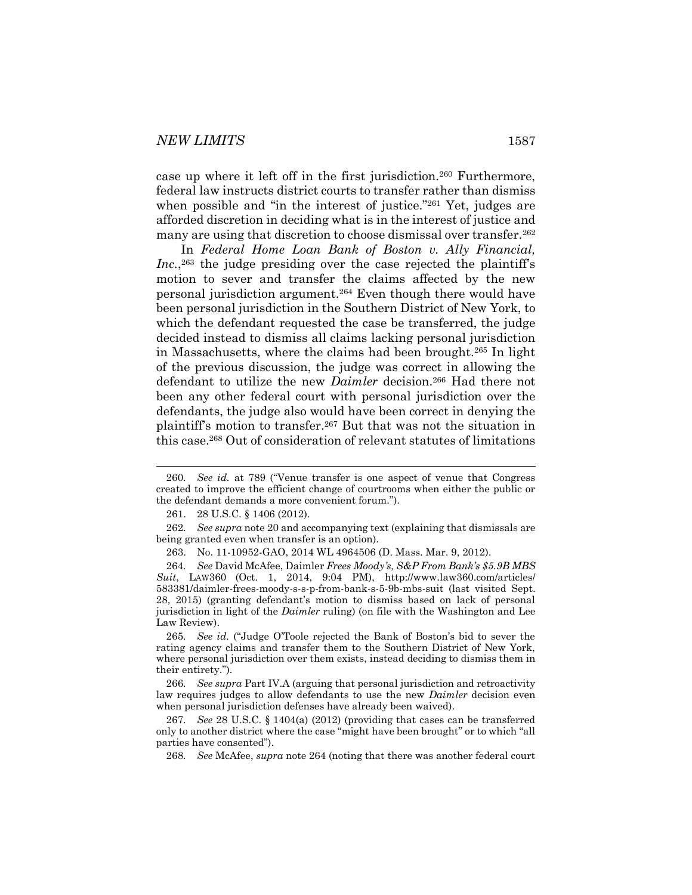case up where it left off in the first jurisdiction.<sup>260</sup> Furthermore, federal law instructs district courts to transfer rather than dismiss when possible and "in the interest of justice."<sup>261</sup> Yet, judges are afforded discretion in deciding what is in the interest of justice and many are using that discretion to choose dismissal over transfer.<sup>262</sup>

<span id="page-39-0"></span>In *Federal Home Loan Bank of Boston v. Ally Financial,*  Inc.,<sup>263</sup> the judge presiding over the case rejected the plaintiff's motion to sever and transfer the claims affected by the new personal jurisdiction argument.<sup>264</sup> Even though there would have been personal jurisdiction in the Southern District of New York, to which the defendant requested the case be transferred, the judge decided instead to dismiss all claims lacking personal jurisdiction in Massachusetts, where the claims had been brought.<sup>265</sup> In light of the previous discussion, the judge was correct in allowing the defendant to utilize the new *Daimler* decision.<sup>266</sup> Had there not been any other federal court with personal jurisdiction over the defendants, the judge also would have been correct in denying the plaintiff's motion to transfer.<sup>267</sup> But that was not the situation in this case.<sup>268</sup> Out of consideration of relevant statutes of limitations

266*. See supra* Part IV.A (arguing that personal jurisdiction and retroactivity law requires judges to allow defendants to use the new *Daimler* decision even when personal jurisdiction defenses have already been waived).

267*. See* 28 U.S.C. § 1404(a) (2012) (providing that cases can be transferred only to another district where the case "might have been brought" or to which "all parties have consented").

268*. See* McAfee, *supra* not[e 264](#page-39-0) (noting that there was another federal court

<sup>260</sup>*. See id.* at 789 ("Venue transfer is one aspect of venue that Congress created to improve the efficient change of courtrooms when either the public or the defendant demands a more convenient forum.").

<sup>261.</sup> 28 U.S.C. § 1406 (2012).

<sup>262</sup>*. See supra* not[e 20](#page-5-0) and accompanying text (explaining that dismissals are being granted even when transfer is an option).

<sup>263.</sup> No. 11-10952-GAO, 2014 WL 4964506 (D. Mass. Mar. 9, 2012).

<sup>264</sup>*. See* David McAfee, Daimler *Frees Moody's, S&P From Bank's \$5.9B MBS Suit*, LAW360 (Oct. 1, 2014, 9:04 PM), http://www.law360.com/articles/ 583381/daimler-frees-moody-s-s-p-from-bank-s-5-9b-mbs-suit (last visited Sept. 28, 2015) (granting defendant's motion to dismiss based on lack of personal jurisdiction in light of the *Daimler* ruling) (on file with the Washington and Lee Law Review).

<sup>265</sup>*. See id.* ("Judge O'Toole rejected the Bank of Boston's bid to sever the rating agency claims and transfer them to the Southern District of New York, where personal jurisdiction over them exists, instead deciding to dismiss them in their entirety.").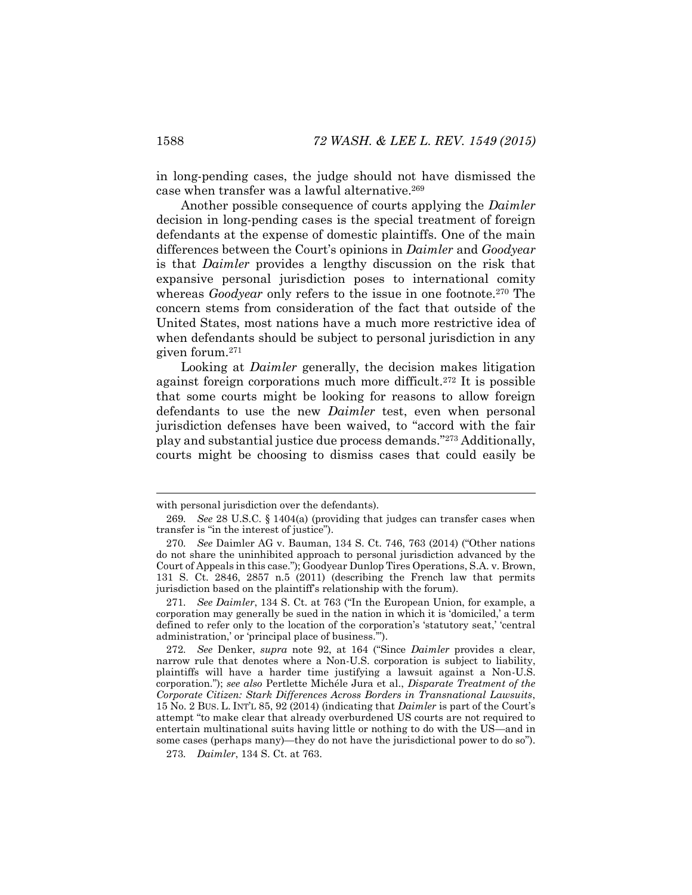in long-pending cases, the judge should not have dismissed the case when transfer was a lawful alternative.<sup>269</sup>

Another possible consequence of courts applying the *Daimler* decision in long-pending cases is the special treatment of foreign defendants at the expense of domestic plaintiffs. One of the main differences between the Court's opinions in *Daimler* and *Goodyear* is that *Daimler* provides a lengthy discussion on the risk that expansive personal jurisdiction poses to international comity whereas *Goodyear* only refers to the issue in one footnote.<sup>270</sup> The concern stems from consideration of the fact that outside of the United States, most nations have a much more restrictive idea of when defendants should be subject to personal jurisdiction in any given forum.<sup>271</sup>

Looking at *Daimler* generally, the decision makes litigation against foreign corporations much more difficult.<sup>272</sup> It is possible that some courts might be looking for reasons to allow foreign defendants to use the new *Daimler* test, even when personal jurisdiction defenses have been waived, to "accord with the fair play and substantial justice due process demands."<sup>273</sup> Additionally, courts might be choosing to dismiss cases that could easily be

with personal jurisdiction over the defendants).

<sup>269</sup>*. See* 28 U.S.C. § 1404(a) (providing that judges can transfer cases when transfer is "in the interest of justice").

<sup>270</sup>*. See* Daimler AG v. Bauman, 134 S. Ct. 746, 763 (2014) ("Other nations do not share the uninhibited approach to personal jurisdiction advanced by the Court of Appeals in this case."); Goodyear Dunlop Tires Operations, S.A. v. Brown, 131 S. Ct. 2846, 2857 n.5 (2011) (describing the French law that permits jurisdiction based on the plaintiff's relationship with the forum).

<sup>271</sup>*. See Daimler*, 134 S. Ct. at 763 ("In the European Union, for example, a corporation may generally be sued in the nation in which it is 'domiciled,' a term defined to refer only to the location of the corporation's 'statutory seat,' 'central administration,' or 'principal place of business.'").

<sup>272</sup>*. See* Denker, *supra* note [92](#page-15-0), at 164 ("Since *Daimler* provides a clear, narrow rule that denotes where a Non-U.S. corporation is subject to liability, plaintiffs will have a harder time justifying a lawsuit against a Non-U.S. corporation."); *see also* Pertlette Michéle Jura et al., *Disparate Treatment of the Corporate Citizen: Stark Differences Across Borders in Transnational Lawsuits*, 15 No. 2 BUS. L. INT'L 85, 92 (2014) (indicating that *Daimler* is part of the Court's attempt "to make clear that already overburdened US courts are not required to entertain multinational suits having little or nothing to do with the US—and in some cases (perhaps many)—they do not have the jurisdictional power to do so").

<sup>273</sup>*. Daimler*, 134 S. Ct. at 763.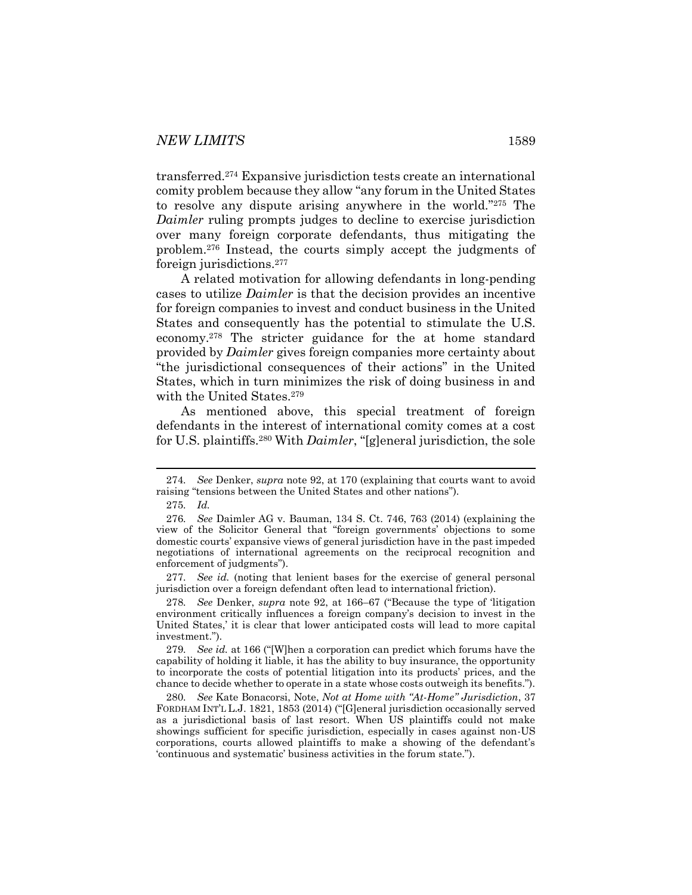transferred.<sup>274</sup> Expansive jurisdiction tests create an international comity problem because they allow "any forum in the United States to resolve any dispute arising anywhere in the world."<sup>275</sup> The *Daimler* ruling prompts judges to decline to exercise jurisdiction over many foreign corporate defendants, thus mitigating the problem.<sup>276</sup> Instead, the courts simply accept the judgments of foreign jurisdictions.<sup>277</sup>

A related motivation for allowing defendants in long-pending cases to utilize *Daimler* is that the decision provides an incentive for foreign companies to invest and conduct business in the United States and consequently has the potential to stimulate the U.S. economy.<sup>278</sup> The stricter guidance for the at home standard provided by *Daimler* gives foreign companies more certainty about "the jurisdictional consequences of their actions" in the United States, which in turn minimizes the risk of doing business in and with the United States.<sup>279</sup>

As mentioned above, this special treatment of foreign defendants in the interest of international comity comes at a cost for U.S. plaintiffs.<sup>280</sup> With *Daimler*, "[g]eneral jurisdiction, the sole

<span id="page-41-0"></span>l

277*. See id.* (noting that lenient bases for the exercise of general personal jurisdiction over a foreign defendant often lead to international friction).

278*. See* Denker, *supra* note [92,](#page-15-0) at 166–67 ("Because the type of 'litigation environment critically influences a foreign company's decision to invest in the United States,' it is clear that lower anticipated costs will lead to more capital investment.").

279*. See id.* at 166 ("[W]hen a corporation can predict which forums have the capability of holding it liable, it has the ability to buy insurance, the opportunity to incorporate the costs of potential litigation into its products' prices, and the chance to decide whether to operate in a state whose costs outweigh its benefits.").

280*. See* Kate Bonacorsi, Note, *Not at Home with "At-Home" Jurisdiction*, 37 FORDHAM INT'L L.J. 1821, 1853 (2014) ("[G]eneral jurisdiction occasionally served as a jurisdictional basis of last resort. When US plaintiffs could not make showings sufficient for specific jurisdiction, especially in cases against non-US corporations, courts allowed plaintiffs to make a showing of the defendant's 'continuous and systematic' business activities in the forum state.").

<sup>274</sup>*. See* Denker, *supra* note [92,](#page-15-0) at 170 (explaining that courts want to avoid raising "tensions between the United States and other nations").

<sup>275</sup>*. Id.*

<sup>276</sup>*. See* Daimler AG v. Bauman, 134 S. Ct. 746, 763 (2014) (explaining the view of the Solicitor General that "foreign governments' objections to some domestic courts' expansive views of general jurisdiction have in the past impeded negotiations of international agreements on the reciprocal recognition and enforcement of judgments").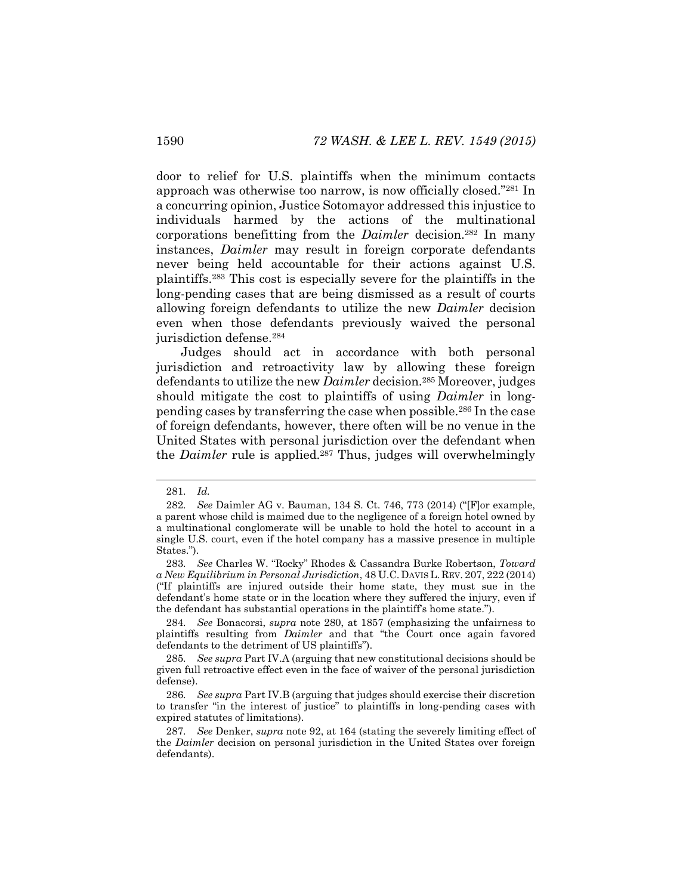door to relief for U.S. plaintiffs when the minimum contacts approach was otherwise too narrow, is now officially closed."<sup>281</sup> In a concurring opinion, Justice Sotomayor addressed this injustice to individuals harmed by the actions of the multinational corporations benefitting from the *Daimler* decision.<sup>282</sup> In many instances, *Daimler* may result in foreign corporate defendants never being held accountable for their actions against U.S. plaintiffs.<sup>283</sup> This cost is especially severe for the plaintiffs in the long-pending cases that are being dismissed as a result of courts allowing foreign defendants to utilize the new *Daimler* decision even when those defendants previously waived the personal jurisdiction defense.<sup>284</sup>

Judges should act in accordance with both personal jurisdiction and retroactivity law by allowing these foreign defendants to utilize the new *Daimler* decision.<sup>285</sup> Moreover, judges should mitigate the cost to plaintiffs of using *Daimler* in longpending cases by transferring the case when possible.<sup>286</sup> In the case of foreign defendants, however, there often will be no venue in the United States with personal jurisdiction over the defendant when the *Daimler* rule is applied.<sup>287</sup> Thus, judges will overwhelmingly

<sup>281</sup>*. Id.*

<sup>282</sup>*. See* Daimler AG v. Bauman, 134 S. Ct. 746, 773 (2014) ("[F]or example, a parent whose child is maimed due to the negligence of a foreign hotel owned by a multinational conglomerate will be unable to hold the hotel to account in a single U.S. court, even if the hotel company has a massive presence in multiple States.").

<sup>283</sup>*. See* Charles W. "Rocky" Rhodes & Cassandra Burke Robertson, *Toward a New Equilibrium in Personal Jurisdiction*, 48 U.C. DAVIS L. REV. 207, 222 (2014) ("If plaintiffs are injured outside their home state, they must sue in the defendant's home state or in the location where they suffered the injury, even if the defendant has substantial operations in the plaintiff's home state.").

<sup>284</sup>*. See* Bonacorsi, *supra* note [280,](#page-41-0) at 1857 (emphasizing the unfairness to plaintiffs resulting from *Daimler* and that "the Court once again favored defendants to the detriment of US plaintiffs").

<sup>285</sup>*. See supra* Part IV.A (arguing that new constitutional decisions should be given full retroactive effect even in the face of waiver of the personal jurisdiction defense).

<sup>286</sup>*. See supra* Part IV.B (arguing that judges should exercise their discretion to transfer "in the interest of justice" to plaintiffs in long-pending cases with expired statutes of limitations).

<sup>287</sup>*. See* Denker, *supra* note [92,](#page-15-0) at 164 (stating the severely limiting effect of the *Daimler* decision on personal jurisdiction in the United States over foreign defendants).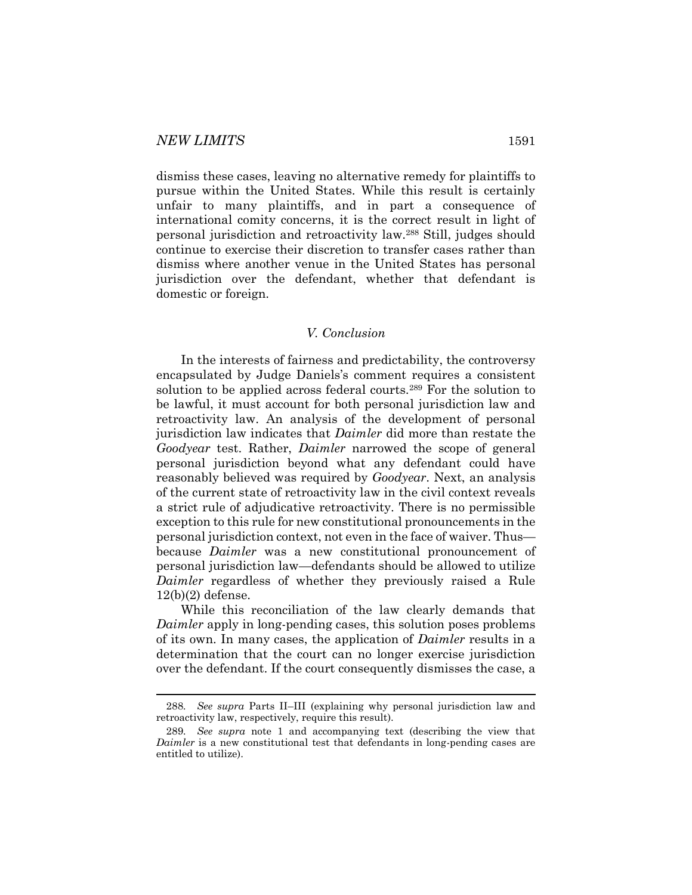dismiss these cases, leaving no alternative remedy for plaintiffs to pursue within the United States. While this result is certainly unfair to many plaintiffs, and in part a consequence of international comity concerns, it is the correct result in light of personal jurisdiction and retroactivity law.<sup>288</sup> Still, judges should continue to exercise their discretion to transfer cases rather than dismiss where another venue in the United States has personal jurisdiction over the defendant, whether that defendant is domestic or foreign.

# *V. Conclusion*

In the interests of fairness and predictability, the controversy encapsulated by Judge Daniels's comment requires a consistent solution to be applied across federal courts.<sup>289</sup> For the solution to be lawful, it must account for both personal jurisdiction law and retroactivity law. An analysis of the development of personal jurisdiction law indicates that *Daimler* did more than restate the *Goodyear* test. Rather, *Daimler* narrowed the scope of general personal jurisdiction beyond what any defendant could have reasonably believed was required by *Goodyear*. Next, an analysis of the current state of retroactivity law in the civil context reveals a strict rule of adjudicative retroactivity. There is no permissible exception to this rule for new constitutional pronouncements in the personal jurisdiction context, not even in the face of waiver. Thus because *Daimler* was a new constitutional pronouncement of personal jurisdiction law—defendants should be allowed to utilize *Daimler* regardless of whether they previously raised a Rule 12(b)(2) defense.

While this reconciliation of the law clearly demands that *Daimler* apply in long-pending cases, this solution poses problems of its own. In many cases, the application of *Daimler* results in a determination that the court can no longer exercise jurisdiction over the defendant. If the court consequently dismisses the case, a

<sup>288</sup>*. See supra* Parts II–III (explaining why personal jurisdiction law and retroactivity law, respectively, require this result).

<sup>289</sup>*. See supra* note [1](#page-2-0) and accompanying text (describing the view that *Daimler* is a new constitutional test that defendants in long-pending cases are entitled to utilize).